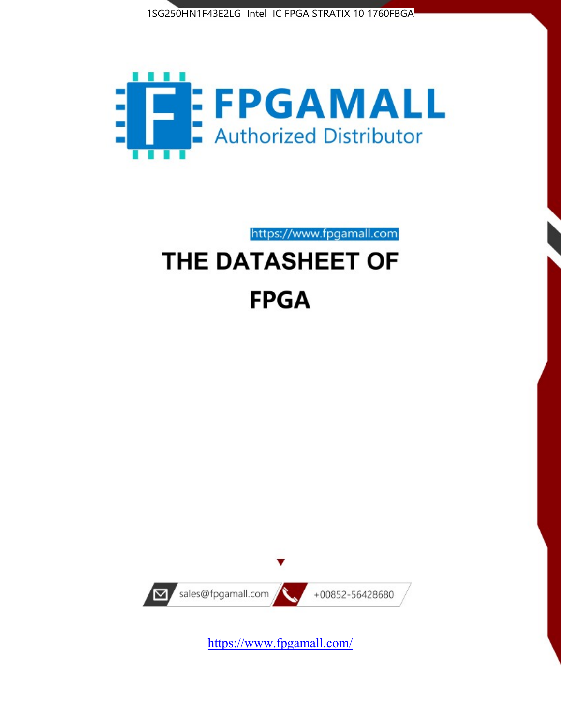



https://www.fpgamall.com

# THE DATASHEET OF **FPGA**



<https://www.fpgamall.com/>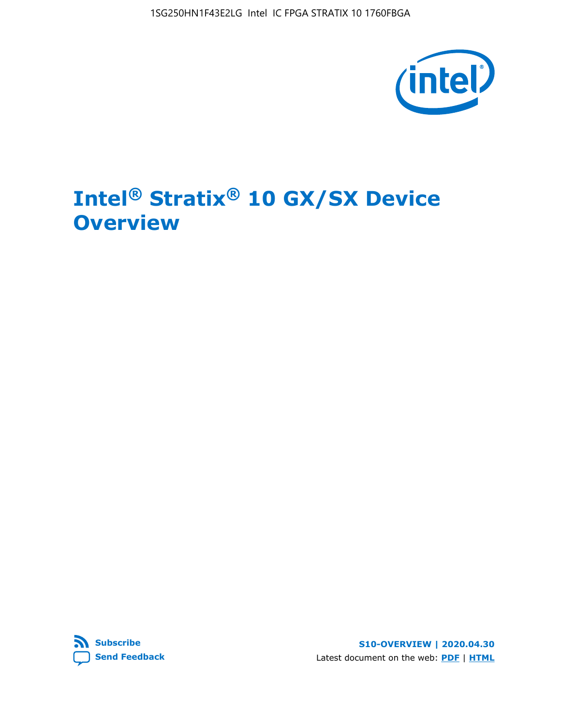1SG250HN1F43E2LG Intel IC FPGA STRATIX 10 1760FBGA



## **Intel® Stratix® 10 GX/SX Device Overview**



**S10-OVERVIEW | 2020.04.30** Latest document on the web: **[PDF](https://www.intel.com/content/dam/www/programmable/us/en/pdfs/literature/hb/stratix-10/s10-overview.pdf)** | **[HTML](https://www.intel.com/content/www/us/en/programmable/documentation/joc1442261161666.html)**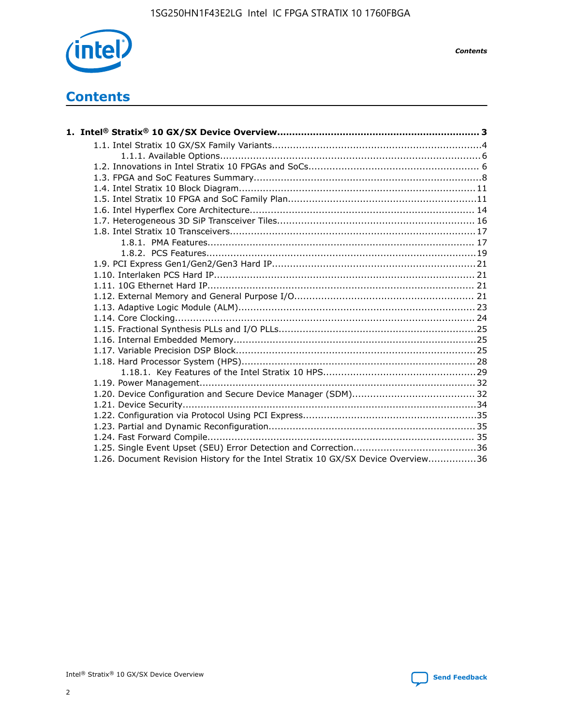

*Contents*

### **Contents**

| 1.26. Document Revision History for the Intel Stratix 10 GX/SX Device Overview36 |  |
|----------------------------------------------------------------------------------|--|

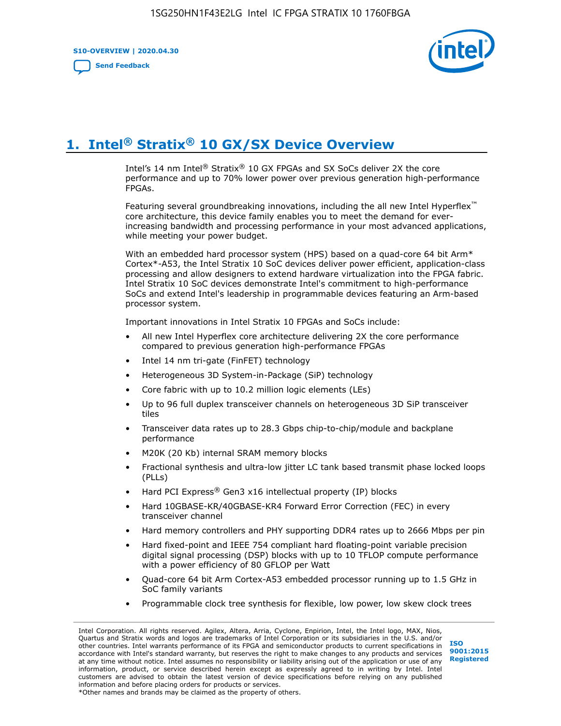**S10-OVERVIEW | 2020.04.30**

**[Send Feedback](mailto:FPGAtechdocfeedback@intel.com?subject=Feedback%20on%20Intel%20Stratix%2010%20GX/SX%20Device%20Overview%20(S10-OVERVIEW%202020.04.30)&body=We%20appreciate%20your%20feedback.%20In%20your%20comments,%20also%20specify%20the%20page%20number%20or%20paragraph.%20Thank%20you.)**



### **1. Intel® Stratix® 10 GX/SX Device Overview**

Intel's 14 nm Intel® Stratix® 10 GX FPGAs and SX SoCs deliver 2X the core performance and up to 70% lower power over previous generation high-performance FPGAs.

Featuring several groundbreaking innovations, including the all new Intel Hyperflex™ core architecture, this device family enables you to meet the demand for everincreasing bandwidth and processing performance in your most advanced applications, while meeting your power budget.

With an embedded hard processor system (HPS) based on a quad-core 64 bit Arm\* Cortex\*-A53, the Intel Stratix 10 SoC devices deliver power efficient, application-class processing and allow designers to extend hardware virtualization into the FPGA fabric. Intel Stratix 10 SoC devices demonstrate Intel's commitment to high-performance SoCs and extend Intel's leadership in programmable devices featuring an Arm-based processor system.

Important innovations in Intel Stratix 10 FPGAs and SoCs include:

- All new Intel Hyperflex core architecture delivering 2X the core performance compared to previous generation high-performance FPGAs
- Intel 14 nm tri-gate (FinFET) technology
- Heterogeneous 3D System-in-Package (SiP) technology
- Core fabric with up to 10.2 million logic elements (LEs)
- Up to 96 full duplex transceiver channels on heterogeneous 3D SiP transceiver tiles
- Transceiver data rates up to 28.3 Gbps chip-to-chip/module and backplane performance
- M20K (20 Kb) internal SRAM memory blocks
- Fractional synthesis and ultra-low jitter LC tank based transmit phase locked loops (PLLs)
- Hard PCI Express<sup>®</sup> Gen3 x16 intellectual property (IP) blocks
- Hard 10GBASE-KR/40GBASE-KR4 Forward Error Correction (FEC) in every transceiver channel
- Hard memory controllers and PHY supporting DDR4 rates up to 2666 Mbps per pin
- Hard fixed-point and IEEE 754 compliant hard floating-point variable precision digital signal processing (DSP) blocks with up to 10 TFLOP compute performance with a power efficiency of 80 GFLOP per Watt
- Quad-core 64 bit Arm Cortex-A53 embedded processor running up to 1.5 GHz in SoC family variants
- Programmable clock tree synthesis for flexible, low power, low skew clock trees

Intel Corporation. All rights reserved. Agilex, Altera, Arria, Cyclone, Enpirion, Intel, the Intel logo, MAX, Nios, Quartus and Stratix words and logos are trademarks of Intel Corporation or its subsidiaries in the U.S. and/or other countries. Intel warrants performance of its FPGA and semiconductor products to current specifications in accordance with Intel's standard warranty, but reserves the right to make changes to any products and services at any time without notice. Intel assumes no responsibility or liability arising out of the application or use of any information, product, or service described herein except as expressly agreed to in writing by Intel. Intel customers are advised to obtain the latest version of device specifications before relying on any published information and before placing orders for products or services. \*Other names and brands may be claimed as the property of others.

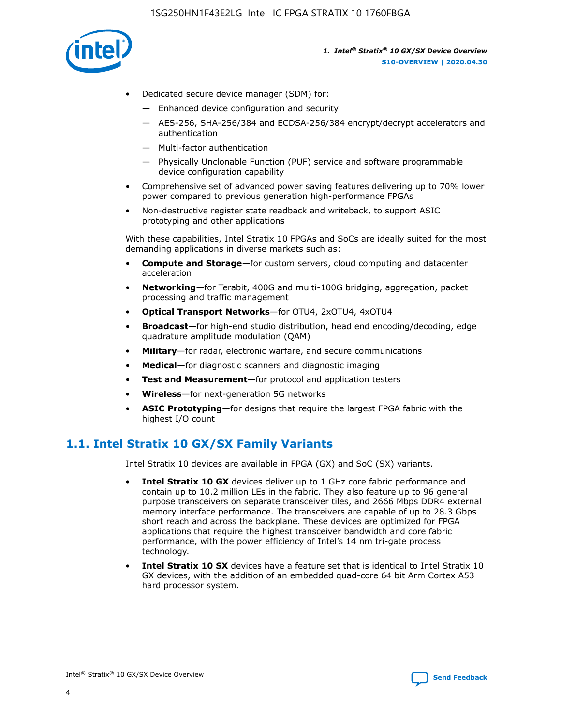

- Dedicated secure device manager (SDM) for:
	- Enhanced device configuration and security
	- AES-256, SHA-256/384 and ECDSA-256/384 encrypt/decrypt accelerators and authentication
	- Multi-factor authentication
	- Physically Unclonable Function (PUF) service and software programmable device configuration capability
- Comprehensive set of advanced power saving features delivering up to 70% lower power compared to previous generation high-performance FPGAs
- Non-destructive register state readback and writeback, to support ASIC prototyping and other applications

With these capabilities, Intel Stratix 10 FPGAs and SoCs are ideally suited for the most demanding applications in diverse markets such as:

- **Compute and Storage**—for custom servers, cloud computing and datacenter acceleration
- **Networking**—for Terabit, 400G and multi-100G bridging, aggregation, packet processing and traffic management
- **Optical Transport Networks**—for OTU4, 2xOTU4, 4xOTU4
- **Broadcast**—for high-end studio distribution, head end encoding/decoding, edge quadrature amplitude modulation (QAM)
- **Military**—for radar, electronic warfare, and secure communications
- **Medical**—for diagnostic scanners and diagnostic imaging
- **Test and Measurement**—for protocol and application testers
- **Wireless**—for next-generation 5G networks
- **ASIC Prototyping**—for designs that require the largest FPGA fabric with the highest I/O count

### **1.1. Intel Stratix 10 GX/SX Family Variants**

Intel Stratix 10 devices are available in FPGA (GX) and SoC (SX) variants.

- **Intel Stratix 10 GX** devices deliver up to 1 GHz core fabric performance and contain up to 10.2 million LEs in the fabric. They also feature up to 96 general purpose transceivers on separate transceiver tiles, and 2666 Mbps DDR4 external memory interface performance. The transceivers are capable of up to 28.3 Gbps short reach and across the backplane. These devices are optimized for FPGA applications that require the highest transceiver bandwidth and core fabric performance, with the power efficiency of Intel's 14 nm tri-gate process technology.
- **Intel Stratix 10 SX** devices have a feature set that is identical to Intel Stratix 10 GX devices, with the addition of an embedded quad-core 64 bit Arm Cortex A53 hard processor system.

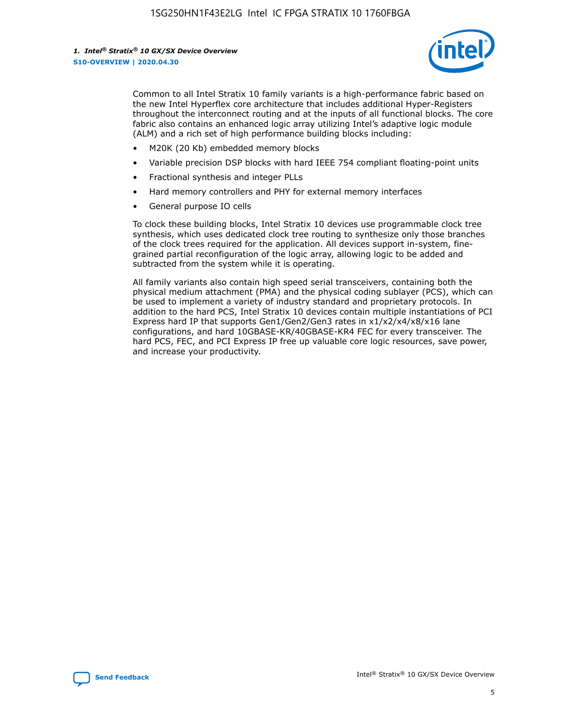

Common to all Intel Stratix 10 family variants is a high-performance fabric based on the new Intel Hyperflex core architecture that includes additional Hyper-Registers throughout the interconnect routing and at the inputs of all functional blocks. The core fabric also contains an enhanced logic array utilizing Intel's adaptive logic module (ALM) and a rich set of high performance building blocks including:

- M20K (20 Kb) embedded memory blocks
- Variable precision DSP blocks with hard IEEE 754 compliant floating-point units
- Fractional synthesis and integer PLLs
- Hard memory controllers and PHY for external memory interfaces
- General purpose IO cells

To clock these building blocks, Intel Stratix 10 devices use programmable clock tree synthesis, which uses dedicated clock tree routing to synthesize only those branches of the clock trees required for the application. All devices support in-system, finegrained partial reconfiguration of the logic array, allowing logic to be added and subtracted from the system while it is operating.

All family variants also contain high speed serial transceivers, containing both the physical medium attachment (PMA) and the physical coding sublayer (PCS), which can be used to implement a variety of industry standard and proprietary protocols. In addition to the hard PCS, Intel Stratix 10 devices contain multiple instantiations of PCI Express hard IP that supports Gen1/Gen2/Gen3 rates in x1/x2/x4/x8/x16 lane configurations, and hard 10GBASE-KR/40GBASE-KR4 FEC for every transceiver. The hard PCS, FEC, and PCI Express IP free up valuable core logic resources, save power, and increase your productivity.

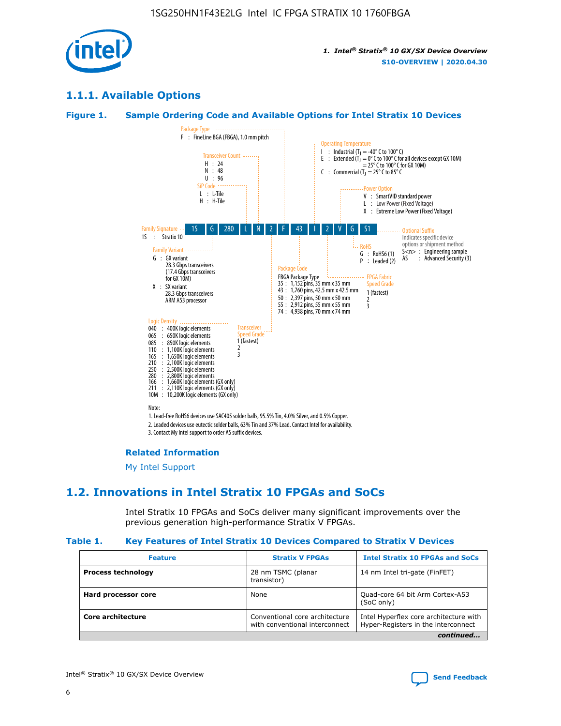

### **1.1.1. Available Options**

#### **Figure 1. Sample Ordering Code and Available Options for Intel Stratix 10 Devices**



### **Related Information**

[My Intel Support](https://www.intel.com/content/www/us/en/programmable/my-intel/mal-home.html)

### **1.2. Innovations in Intel Stratix 10 FPGAs and SoCs**

Intel Stratix 10 FPGAs and SoCs deliver many significant improvements over the previous generation high-performance Stratix V FPGAs.

#### **Table 1. Key Features of Intel Stratix 10 Devices Compared to Stratix V Devices**

| <b>Feature</b>            | <b>Stratix V FPGAs</b>                                           | <b>Intel Stratix 10 FPGAs and SoCs</b>                                        |  |
|---------------------------|------------------------------------------------------------------|-------------------------------------------------------------------------------|--|
| <b>Process technology</b> | 28 nm TSMC (planar<br>transistor)                                | 14 nm Intel tri-gate (FinFET)                                                 |  |
| Hard processor core       | None                                                             | Quad-core 64 bit Arm Cortex-A53<br>(SoC only)                                 |  |
| Core architecture         | Conventional core architecture<br>with conventional interconnect | Intel Hyperflex core architecture with<br>Hyper-Registers in the interconnect |  |
|                           |                                                                  | continued                                                                     |  |

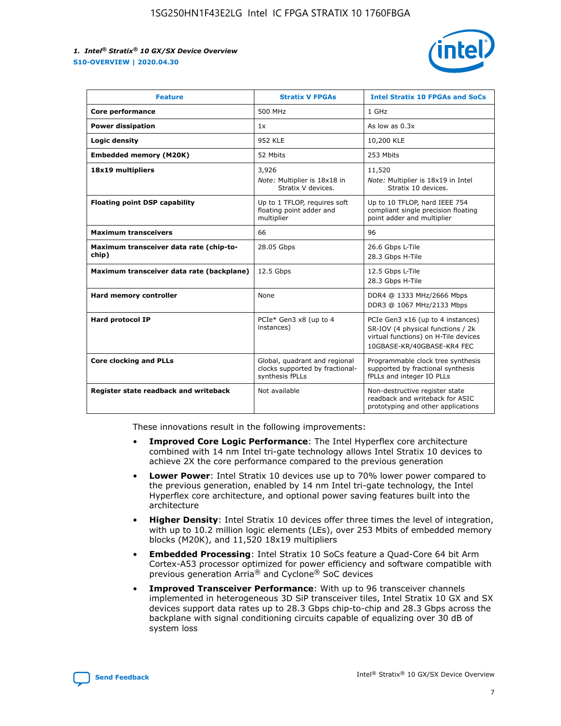

| <b>Feature</b>                                   | <b>Stratix V FPGAs</b>                                                              | <b>Intel Stratix 10 FPGAs and SoCs</b>                                                                                                       |
|--------------------------------------------------|-------------------------------------------------------------------------------------|----------------------------------------------------------------------------------------------------------------------------------------------|
| Core performance                                 | 500 MHz                                                                             | 1 GHz                                                                                                                                        |
| <b>Power dissipation</b>                         | 1x                                                                                  | As low as $0.3x$                                                                                                                             |
| Logic density                                    | <b>952 KLE</b>                                                                      | 10,200 KLE                                                                                                                                   |
| <b>Embedded memory (M20K)</b>                    | 52 Mbits                                                                            | 253 Mbits                                                                                                                                    |
| 18x19 multipliers                                | 3,926                                                                               | 11,520                                                                                                                                       |
|                                                  | Note: Multiplier is 18x18 in<br>Stratix V devices.                                  | Note: Multiplier is 18x19 in Intel<br>Stratix 10 devices.                                                                                    |
| <b>Floating point DSP capability</b>             | Up to 1 TFLOP, requires soft<br>floating point adder and<br>multiplier              | Up to 10 TFLOP, hard IEEE 754<br>compliant single precision floating<br>point adder and multiplier                                           |
| <b>Maximum transceivers</b>                      | 66                                                                                  | 96                                                                                                                                           |
| Maximum transceiver data rate (chip-to-<br>chip) | 28.05 Gbps                                                                          | 26.6 Gbps L-Tile<br>28.3 Gbps H-Tile                                                                                                         |
| Maximum transceiver data rate (backplane)        | 12.5 Gbps                                                                           | 12.5 Gbps L-Tile<br>28.3 Gbps H-Tile                                                                                                         |
| Hard memory controller                           | None                                                                                | DDR4 @ 1333 MHz/2666 Mbps<br>DDR3 @ 1067 MHz/2133 Mbps                                                                                       |
| Hard protocol IP                                 | PCIe* Gen3 x8 (up to 4<br>instances)                                                | PCIe Gen3 x16 (up to 4 instances)<br>SR-IOV (4 physical functions / 2k<br>virtual functions) on H-Tile devices<br>10GBASE-KR/40GBASE-KR4 FEC |
| <b>Core clocking and PLLs</b>                    | Global, quadrant and regional<br>clocks supported by fractional-<br>synthesis fPLLs | Programmable clock tree synthesis<br>supported by fractional synthesis<br>fPLLs and integer IO PLLs                                          |
| Register state readback and writeback            | Not available                                                                       | Non-destructive register state<br>readback and writeback for ASIC<br>prototyping and other applications                                      |

These innovations result in the following improvements:

- **Improved Core Logic Performance**: The Intel Hyperflex core architecture combined with 14 nm Intel tri-gate technology allows Intel Stratix 10 devices to achieve 2X the core performance compared to the previous generation
- **Lower Power**: Intel Stratix 10 devices use up to 70% lower power compared to the previous generation, enabled by 14 nm Intel tri-gate technology, the Intel Hyperflex core architecture, and optional power saving features built into the architecture
- **Higher Density**: Intel Stratix 10 devices offer three times the level of integration, with up to 10.2 million logic elements (LEs), over 253 Mbits of embedded memory blocks (M20K), and 11,520 18x19 multipliers
- **Embedded Processing**: Intel Stratix 10 SoCs feature a Quad-Core 64 bit Arm Cortex-A53 processor optimized for power efficiency and software compatible with previous generation Arria® and Cyclone® SoC devices
- **Improved Transceiver Performance**: With up to 96 transceiver channels implemented in heterogeneous 3D SiP transceiver tiles, Intel Stratix 10 GX and SX devices support data rates up to 28.3 Gbps chip-to-chip and 28.3 Gbps across the backplane with signal conditioning circuits capable of equalizing over 30 dB of system loss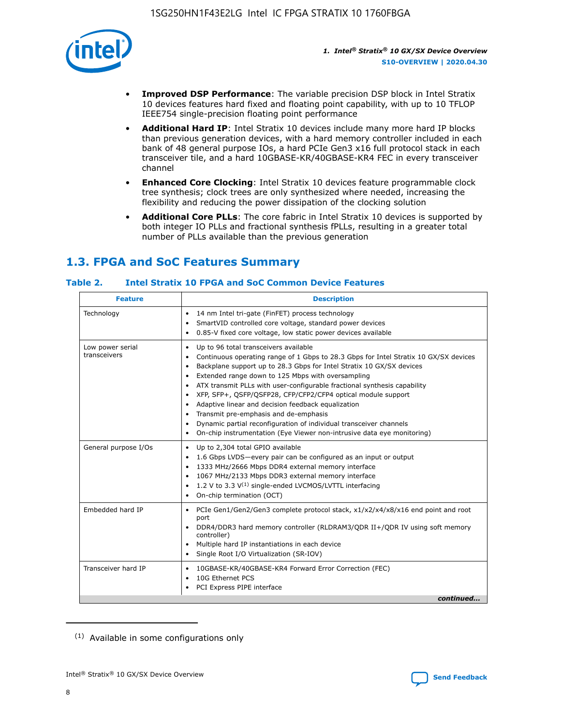

- **Improved DSP Performance**: The variable precision DSP block in Intel Stratix 10 devices features hard fixed and floating point capability, with up to 10 TFLOP IEEE754 single-precision floating point performance
- **Additional Hard IP**: Intel Stratix 10 devices include many more hard IP blocks than previous generation devices, with a hard memory controller included in each bank of 48 general purpose IOs, a hard PCIe Gen3 x16 full protocol stack in each transceiver tile, and a hard 10GBASE-KR/40GBASE-KR4 FEC in every transceiver channel
- **Enhanced Core Clocking**: Intel Stratix 10 devices feature programmable clock tree synthesis; clock trees are only synthesized where needed, increasing the flexibility and reducing the power dissipation of the clocking solution
- **Additional Core PLLs**: The core fabric in Intel Stratix 10 devices is supported by both integer IO PLLs and fractional synthesis fPLLs, resulting in a greater total number of PLLs available than the previous generation

### **1.3. FPGA and SoC Features Summary**

### **Table 2. Intel Stratix 10 FPGA and SoC Common Device Features**

| Technology<br>14 nm Intel tri-gate (FinFET) process technology<br>٠<br>SmartVID controlled core voltage, standard power devices<br>0.85-V fixed core voltage, low static power devices available<br>Up to 96 total transceivers available<br>Low power serial<br>٠<br>transceivers<br>Continuous operating range of 1 Gbps to 28.3 Gbps for Intel Stratix 10 GX/SX devices<br>Backplane support up to 28.3 Gbps for Intel Stratix 10 GX/SX devices<br>$\bullet$<br>Extended range down to 125 Mbps with oversampling<br>$\bullet$<br>• ATX transmit PLLs with user-configurable fractional synthesis capability<br>XFP, SFP+, QSFP/QSFP28, CFP/CFP2/CFP4 optical module support<br>• Adaptive linear and decision feedback equalization<br>Transmit pre-emphasis and de-emphasis<br>Dynamic partial reconfiguration of individual transceiver channels<br>$\bullet$<br>On-chip instrumentation (Eye Viewer non-intrusive data eye monitoring)<br>General purpose I/Os<br>Up to 2,304 total GPIO available<br>$\bullet$<br>1.6 Gbps LVDS-every pair can be configured as an input or output<br>1333 MHz/2666 Mbps DDR4 external memory interface<br>1067 MHz/2133 Mbps DDR3 external memory interface<br>• 1.2 V to 3.3 $V^{(1)}$ single-ended LVCMOS/LVTTL interfacing<br>• On-chip termination (OCT)<br>Embedded hard IP<br>PCIe Gen1/Gen2/Gen3 complete protocol stack, x1/x2/x4/x8/x16 end point and root<br>$\bullet$<br>port<br>DDR4/DDR3 hard memory controller (RLDRAM3/QDR II+/QDR IV using soft memory<br>controller)<br>Multiple hard IP instantiations in each device<br>• Single Root I/O Virtualization (SR-IOV)<br>Transceiver hard IP<br>10GBASE-KR/40GBASE-KR4 Forward Error Correction (FEC)<br>$\bullet$<br>10G Ethernet PCS<br>$\bullet$ | <b>Feature</b> | <b>Description</b> |
|-------------------------------------------------------------------------------------------------------------------------------------------------------------------------------------------------------------------------------------------------------------------------------------------------------------------------------------------------------------------------------------------------------------------------------------------------------------------------------------------------------------------------------------------------------------------------------------------------------------------------------------------------------------------------------------------------------------------------------------------------------------------------------------------------------------------------------------------------------------------------------------------------------------------------------------------------------------------------------------------------------------------------------------------------------------------------------------------------------------------------------------------------------------------------------------------------------------------------------------------------------------------------------------------------------------------------------------------------------------------------------------------------------------------------------------------------------------------------------------------------------------------------------------------------------------------------------------------------------------------------------------------------------------------------------------------------------------------------------------------------------------|----------------|--------------------|
|                                                                                                                                                                                                                                                                                                                                                                                                                                                                                                                                                                                                                                                                                                                                                                                                                                                                                                                                                                                                                                                                                                                                                                                                                                                                                                                                                                                                                                                                                                                                                                                                                                                                                                                                                             |                |                    |
|                                                                                                                                                                                                                                                                                                                                                                                                                                                                                                                                                                                                                                                                                                                                                                                                                                                                                                                                                                                                                                                                                                                                                                                                                                                                                                                                                                                                                                                                                                                                                                                                                                                                                                                                                             |                |                    |
|                                                                                                                                                                                                                                                                                                                                                                                                                                                                                                                                                                                                                                                                                                                                                                                                                                                                                                                                                                                                                                                                                                                                                                                                                                                                                                                                                                                                                                                                                                                                                                                                                                                                                                                                                             |                |                    |
|                                                                                                                                                                                                                                                                                                                                                                                                                                                                                                                                                                                                                                                                                                                                                                                                                                                                                                                                                                                                                                                                                                                                                                                                                                                                                                                                                                                                                                                                                                                                                                                                                                                                                                                                                             |                |                    |
| PCI Express PIPE interface<br>continued                                                                                                                                                                                                                                                                                                                                                                                                                                                                                                                                                                                                                                                                                                                                                                                                                                                                                                                                                                                                                                                                                                                                                                                                                                                                                                                                                                                                                                                                                                                                                                                                                                                                                                                     |                |                    |

<sup>(1)</sup> Available in some configurations only

8

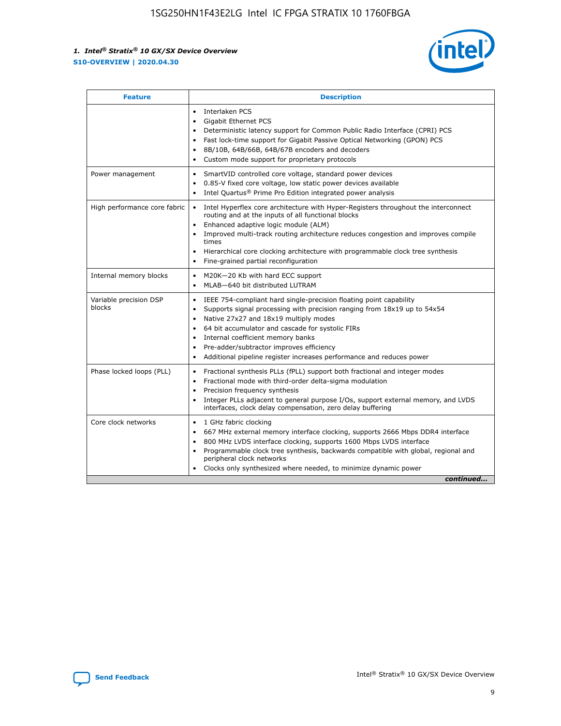

| <b>Feature</b>                   | <b>Description</b>                                                                                                                                                                                                                                                                                                                                                                                                                                                    |
|----------------------------------|-----------------------------------------------------------------------------------------------------------------------------------------------------------------------------------------------------------------------------------------------------------------------------------------------------------------------------------------------------------------------------------------------------------------------------------------------------------------------|
|                                  | Interlaken PCS<br>$\bullet$<br>Gigabit Ethernet PCS<br>$\bullet$<br>Deterministic latency support for Common Public Radio Interface (CPRI) PCS<br>$\bullet$<br>Fast lock-time support for Gigabit Passive Optical Networking (GPON) PCS<br>$\bullet$<br>8B/10B, 64B/66B, 64B/67B encoders and decoders<br>Custom mode support for proprietary protocols                                                                                                               |
| Power management                 | SmartVID controlled core voltage, standard power devices<br>$\bullet$<br>0.85-V fixed core voltage, low static power devices available<br>$\bullet$<br>Intel Quartus <sup>®</sup> Prime Pro Edition integrated power analysis<br>$\bullet$                                                                                                                                                                                                                            |
| High performance core fabric     | Intel Hyperflex core architecture with Hyper-Registers throughout the interconnect<br>routing and at the inputs of all functional blocks<br>Enhanced adaptive logic module (ALM)<br>$\bullet$<br>Improved multi-track routing architecture reduces congestion and improves compile<br>times<br>Hierarchical core clocking architecture with programmable clock tree synthesis<br>$\bullet$<br>Fine-grained partial reconfiguration                                    |
| Internal memory blocks           | M20K-20 Kb with hard ECC support<br>$\bullet$<br>MLAB-640 bit distributed LUTRAM<br>$\bullet$                                                                                                                                                                                                                                                                                                                                                                         |
| Variable precision DSP<br>blocks | IEEE 754-compliant hard single-precision floating point capability<br>$\bullet$<br>Supports signal processing with precision ranging from 18x19 up to 54x54<br>$\bullet$<br>Native 27x27 and 18x19 multiply modes<br>$\bullet$<br>64 bit accumulator and cascade for systolic FIRs<br>Internal coefficient memory banks<br>Pre-adder/subtractor improves efficiency<br>$\bullet$<br>Additional pipeline register increases performance and reduces power<br>$\bullet$ |
| Phase locked loops (PLL)         | Fractional synthesis PLLs (fPLL) support both fractional and integer modes<br>$\bullet$<br>Fractional mode with third-order delta-sigma modulation<br>Precision frequency synthesis<br>$\bullet$<br>Integer PLLs adjacent to general purpose I/Os, support external memory, and LVDS<br>$\bullet$<br>interfaces, clock delay compensation, zero delay buffering                                                                                                       |
| Core clock networks              | 1 GHz fabric clocking<br>$\bullet$<br>667 MHz external memory interface clocking, supports 2666 Mbps DDR4 interface<br>٠<br>800 MHz LVDS interface clocking, supports 1600 Mbps LVDS interface<br>$\bullet$<br>Programmable clock tree synthesis, backwards compatible with global, regional and<br>$\bullet$<br>peripheral clock networks<br>Clocks only synthesized where needed, to minimize dynamic power<br>continued                                            |

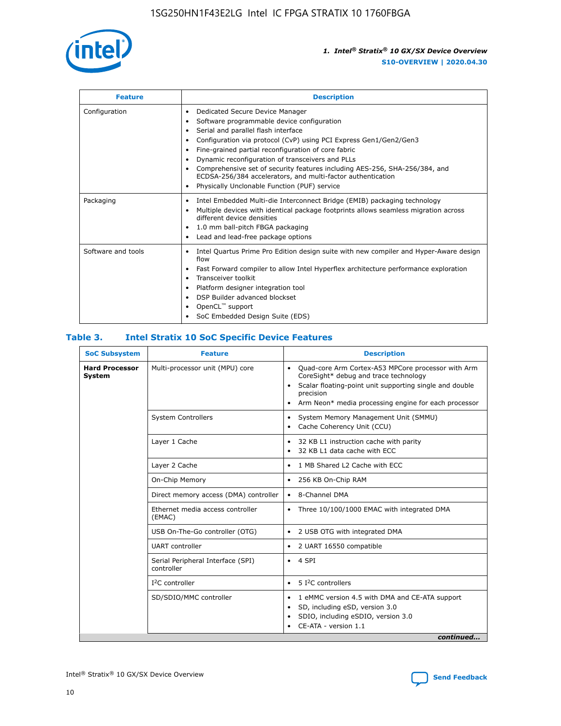

| <b>Feature</b>     | <b>Description</b>                                                                                                                                                                                                                                                                                                                                                                                                                                                                                                                                                   |
|--------------------|----------------------------------------------------------------------------------------------------------------------------------------------------------------------------------------------------------------------------------------------------------------------------------------------------------------------------------------------------------------------------------------------------------------------------------------------------------------------------------------------------------------------------------------------------------------------|
| Configuration      | Dedicated Secure Device Manager<br>$\bullet$<br>Software programmable device configuration<br>٠<br>Serial and parallel flash interface<br>٠<br>Configuration via protocol (CvP) using PCI Express Gen1/Gen2/Gen3<br>٠<br>Fine-grained partial reconfiguration of core fabric<br>$\bullet$<br>Dynamic reconfiguration of transceivers and PLLs<br>$\bullet$<br>Comprehensive set of security features including AES-256, SHA-256/384, and<br>ECDSA-256/384 accelerators, and multi-factor authentication<br>Physically Unclonable Function (PUF) service<br>$\bullet$ |
| Packaging          | Intel Embedded Multi-die Interconnect Bridge (EMIB) packaging technology<br>٠<br>Multiple devices with identical package footprints allows seamless migration across<br>$\bullet$<br>different device densities<br>1.0 mm ball-pitch FBGA packaging<br>$\bullet$<br>Lead and lead-free package options                                                                                                                                                                                                                                                               |
| Software and tools | Intel Quartus Prime Pro Edition design suite with new compiler and Hyper-Aware design<br>flow<br>Fast Forward compiler to allow Intel Hyperflex architecture performance exploration<br>$\bullet$<br>Transceiver toolkit<br>$\bullet$<br>Platform designer integration tool<br>DSP Builder advanced blockset<br>OpenCL <sup>™</sup> support<br>SoC Embedded Design Suite (EDS)                                                                                                                                                                                       |

### **Table 3. Intel Stratix 10 SoC Specific Device Features**

| <b>SoC Subsystem</b>            | <b>Feature</b>                                  | <b>Description</b>                                                                                                                                                                                                                                         |
|---------------------------------|-------------------------------------------------|------------------------------------------------------------------------------------------------------------------------------------------------------------------------------------------------------------------------------------------------------------|
| <b>Hard Processor</b><br>System | Multi-processor unit (MPU) core                 | Quad-core Arm Cortex-A53 MPCore processor with Arm<br>$\bullet$<br>CoreSight* debug and trace technology<br>Scalar floating-point unit supporting single and double<br>٠<br>precision<br>Arm Neon* media processing engine for each processor<br>$\bullet$ |
|                                 | <b>System Controllers</b>                       | System Memory Management Unit (SMMU)<br>٠<br>Cache Coherency Unit (CCU)<br>$\bullet$                                                                                                                                                                       |
|                                 | Layer 1 Cache                                   | 32 KB L1 instruction cache with parity<br>٠<br>32 KB L1 data cache with ECC<br>$\bullet$                                                                                                                                                                   |
|                                 | Layer 2 Cache                                   | 1 MB Shared L2 Cache with ECC<br>$\bullet$                                                                                                                                                                                                                 |
|                                 | On-Chip Memory                                  | 256 KB On-Chip RAM<br>$\bullet$                                                                                                                                                                                                                            |
|                                 | Direct memory access (DMA) controller           | 8-Channel DMA<br>$\bullet$                                                                                                                                                                                                                                 |
|                                 | Ethernet media access controller<br>(EMAC)      | Three 10/100/1000 EMAC with integrated DMA<br>$\bullet$                                                                                                                                                                                                    |
|                                 | USB On-The-Go controller (OTG)                  | 2 USB OTG with integrated DMA<br>$\bullet$                                                                                                                                                                                                                 |
|                                 | <b>UART</b> controller                          | 2 UART 16550 compatible<br>$\bullet$                                                                                                                                                                                                                       |
|                                 | Serial Peripheral Interface (SPI)<br>controller | $\bullet$ 4 SPI                                                                                                                                                                                                                                            |
|                                 | $I2C$ controller                                | 5 I <sup>2</sup> C controllers<br>$\bullet$                                                                                                                                                                                                                |
|                                 | SD/SDIO/MMC controller                          | 1 eMMC version 4.5 with DMA and CE-ATA support<br>$\bullet$<br>SD, including eSD, version 3.0<br>٠<br>SDIO, including eSDIO, version 3.0<br>CE-ATA - version 1.1<br>continued                                                                              |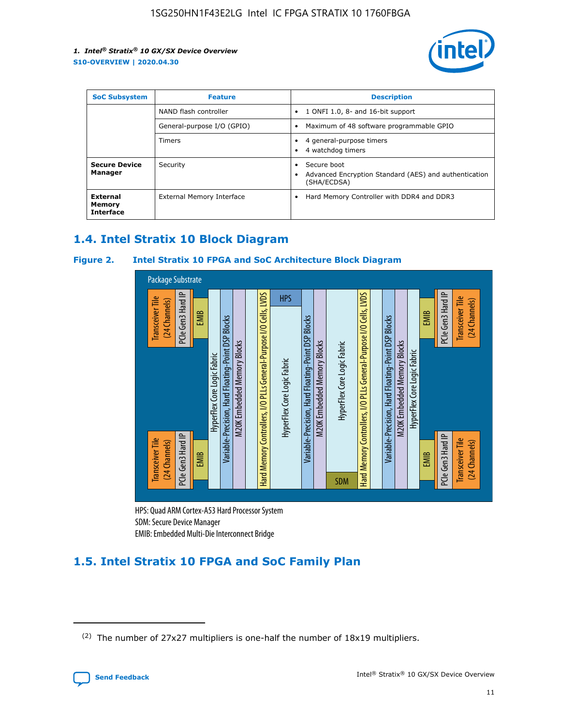

| <b>SoC Subsystem</b>                   | <b>Feature</b>             | <b>Description</b>                                                                                    |  |  |
|----------------------------------------|----------------------------|-------------------------------------------------------------------------------------------------------|--|--|
|                                        | NAND flash controller      | 1 ONFI 1.0, 8- and 16-bit support<br>$\bullet$                                                        |  |  |
|                                        | General-purpose I/O (GPIO) | Maximum of 48 software programmable GPIO<br>$\bullet$                                                 |  |  |
|                                        | Timers                     | 4 general-purpose timers<br>4 watchdog timers<br>٠                                                    |  |  |
| <b>Secure Device</b><br>Manager        | Security                   | Secure boot<br>$\bullet$<br>Advanced Encryption Standard (AES) and authentication<br>٠<br>(SHA/ECDSA) |  |  |
| External<br>Memory<br><b>Interface</b> | External Memory Interface  | Hard Memory Controller with DDR4 and DDR3<br>$\bullet$                                                |  |  |

### **1.4. Intel Stratix 10 Block Diagram**

### **Figure 2. Intel Stratix 10 FPGA and SoC Architecture Block Diagram**



HPS: Quad ARM Cortex-A53 Hard Processor System SDM: Secure Device Manager

### **1.5. Intel Stratix 10 FPGA and SoC Family Plan**

<sup>(2)</sup> The number of 27x27 multipliers is one-half the number of 18x19 multipliers.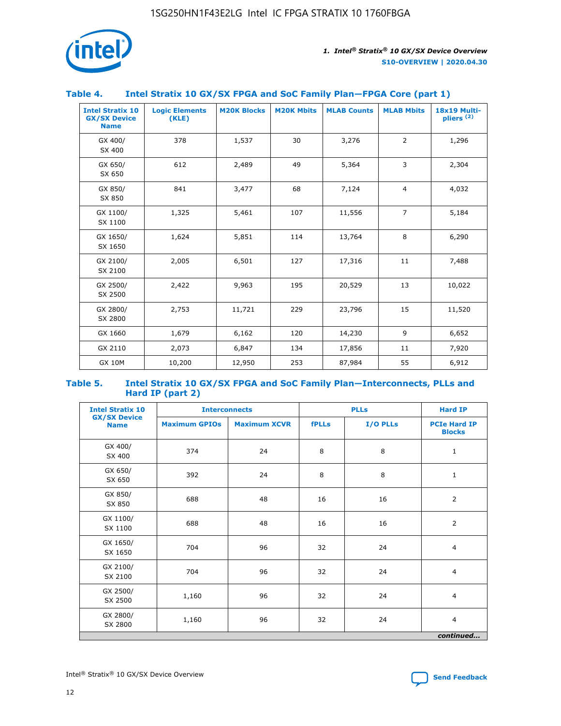

### **Table 4. Intel Stratix 10 GX/SX FPGA and SoC Family Plan—FPGA Core (part 1)**

| <b>Intel Stratix 10</b><br><b>GX/SX Device</b><br><b>Name</b> | <b>Logic Elements</b><br>(KLE) | <b>M20K Blocks</b> | <b>M20K Mbits</b> | <b>MLAB Counts</b> | <b>MLAB Mbits</b> | 18x19 Multi-<br>pliers <sup>(2)</sup> |
|---------------------------------------------------------------|--------------------------------|--------------------|-------------------|--------------------|-------------------|---------------------------------------|
| GX 400/<br>SX 400                                             | 378                            | 1,537              | 30                | 3,276              | $\overline{2}$    | 1,296                                 |
| GX 650/<br>SX 650                                             | 612                            | 2,489              | 49                | 5,364              | 3                 | 2,304                                 |
| GX 850/<br>SX 850                                             | 841                            | 3,477              | 68                | 7,124              | $\overline{4}$    | 4,032                                 |
| GX 1100/<br>SX 1100                                           | 1,325                          | 5,461              | 107               | 11,556             | $\overline{7}$    | 5,184                                 |
| GX 1650/<br>SX 1650                                           | 1,624                          | 5,851              | 114               | 13,764             | 8                 | 6,290                                 |
| GX 2100/<br>SX 2100                                           | 2,005                          | 6,501              | 127               | 17,316             | 11                | 7,488                                 |
| GX 2500/<br>SX 2500                                           | 2,422                          | 9,963              | 195               | 20,529             | 13                | 10,022                                |
| GX 2800/<br>SX 2800                                           | 2,753                          | 11,721             | 229               | 23,796             | 15                | 11,520                                |
| GX 1660                                                       | 1,679                          | 6,162              | 120               | 14,230             | 9                 | 6,652                                 |
| GX 2110                                                       | 2,073                          | 6,847              | 134               | 17,856             | 11                | 7,920                                 |
| <b>GX 10M</b>                                                 | 10,200                         | 12,950             | 253               | 87,984             | 55                | 6,912                                 |

#### **Table 5. Intel Stratix 10 GX/SX FPGA and SoC Family Plan—Interconnects, PLLs and Hard IP (part 2)**

| <b>Intel Stratix 10</b>            | <b>Interconnects</b> |                     | <b>PLLs</b>  |          | <b>Hard IP</b>                       |  |
|------------------------------------|----------------------|---------------------|--------------|----------|--------------------------------------|--|
| <b>GX/SX Device</b><br><b>Name</b> | <b>Maximum GPIOs</b> | <b>Maximum XCVR</b> | <b>fPLLs</b> | I/O PLLs | <b>PCIe Hard IP</b><br><b>Blocks</b> |  |
| GX 400/<br>SX 400                  | 374                  | 24                  | 8            | 8        | $\mathbf{1}$                         |  |
| GX 650/<br>SX 650                  | 392                  | 24                  | 8            | 8        | $\mathbf{1}$                         |  |
| GX 850/<br>SX 850                  | 688                  | 48                  | 16           | 16       | 2                                    |  |
| GX 1100/<br>SX 1100                | 688                  | 48                  | 16           | 16       | 2                                    |  |
| GX 1650/<br>SX 1650                | 704                  | 96                  | 32           | 24       | $\overline{4}$                       |  |
| GX 2100/<br>SX 2100                | 704                  | 96                  | 32           | 24       | $\overline{4}$                       |  |
| GX 2500/<br>SX 2500                | 1,160                | 96                  | 32           | 24       | $\overline{4}$                       |  |
| GX 2800/<br>SX 2800                | 1,160                | 96                  | 32           | 24       | $\overline{4}$                       |  |
| continued                          |                      |                     |              |          |                                      |  |

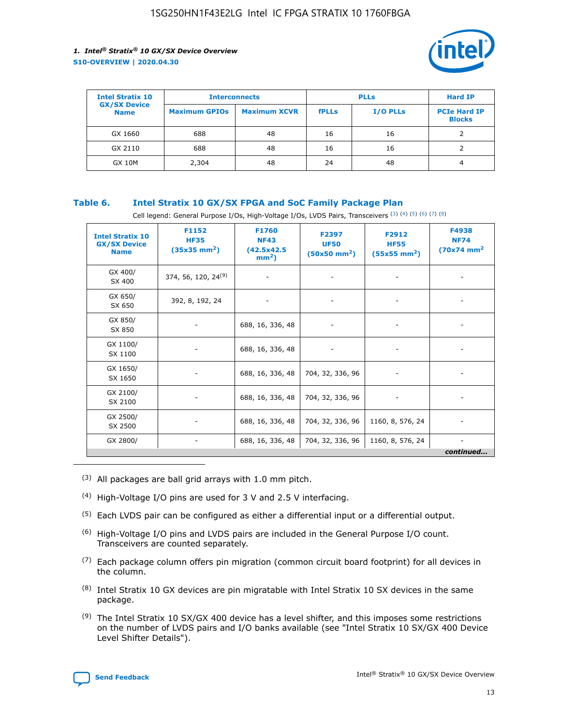

| <b>Intel Stratix 10</b>            | <b>Interconnects</b> |                     | <b>PLLs</b>  |          | <b>Hard IP</b>                       |
|------------------------------------|----------------------|---------------------|--------------|----------|--------------------------------------|
| <b>GX/SX Device</b><br><b>Name</b> | <b>Maximum GPIOs</b> | <b>Maximum XCVR</b> | <b>fPLLs</b> | I/O PLLs | <b>PCIe Hard IP</b><br><b>Blocks</b> |
| GX 1660                            | 688                  | 48                  | 16           | 16       |                                      |
| GX 2110                            | 688                  | 48                  | 16           | 16       |                                      |
| <b>GX 10M</b>                      | 2,304                | 48                  | 24           | 48       | 4                                    |

### **Table 6. Intel Stratix 10 GX/SX FPGA and SoC Family Package Plan**

Cell legend: General Purpose I/Os, High-Voltage I/Os, LVDS Pairs, Transceivers (3) (4) (5) (6) (7) (8)

| <b>Intel Stratix 10</b><br><b>GX/SX Device</b><br><b>Name</b> | F1152<br><b>HF35</b><br>$(35x35 \text{ mm}^2)$ | <b>F1760</b><br><b>NF43</b><br>(42.5x42.5<br>$mm2$ ) | F2397<br><b>UF50</b><br>$(50x50 \text{ mm}^2)$ | F2912<br><b>HF55</b><br>$(55x55 \text{ mm}^2)$ | F4938<br><b>NF74</b><br>$(70x74)$ mm <sup>2</sup> |
|---------------------------------------------------------------|------------------------------------------------|------------------------------------------------------|------------------------------------------------|------------------------------------------------|---------------------------------------------------|
| GX 400/<br>SX 400                                             | 374, 56, 120, 24 <sup>(9)</sup>                | $\overline{\phantom{a}}$                             | $\overline{\phantom{a}}$                       |                                                |                                                   |
| GX 650/<br>SX 650                                             | 392, 8, 192, 24                                | ٠                                                    | $\qquad \qquad \blacksquare$                   |                                                |                                                   |
| GX 850/<br>SX 850                                             | $\overline{\phantom{a}}$                       | 688, 16, 336, 48                                     | $\overline{\phantom{a}}$                       |                                                |                                                   |
| GX 1100/<br>SX 1100                                           | -                                              | 688, 16, 336, 48                                     |                                                |                                                |                                                   |
| GX 1650/<br>SX 1650                                           |                                                | 688, 16, 336, 48                                     | 704, 32, 336, 96                               | $\overline{\phantom{a}}$                       | $\overline{\phantom{0}}$                          |
| GX 2100/<br>SX 2100                                           |                                                | 688, 16, 336, 48                                     | 704, 32, 336, 96                               | $\overline{\phantom{a}}$                       | ٠                                                 |
| GX 2500/<br>SX 2500                                           |                                                | 688, 16, 336, 48                                     | 704, 32, 336, 96                               | 1160, 8, 576, 24                               |                                                   |
| GX 2800/                                                      | -                                              | 688, 16, 336, 48                                     | 704, 32, 336, 96                               | 1160, 8, 576, 24                               | continued                                         |

- (3) All packages are ball grid arrays with 1.0 mm pitch.
- (4) High-Voltage I/O pins are used for 3 V and 2.5 V interfacing.
- $(5)$  Each LVDS pair can be configured as either a differential input or a differential output.
- (6) High-Voltage I/O pins and LVDS pairs are included in the General Purpose I/O count. Transceivers are counted separately.
- $(7)$  Each package column offers pin migration (common circuit board footprint) for all devices in the column.
- $(8)$  Intel Stratix 10 GX devices are pin migratable with Intel Stratix 10 SX devices in the same package.
- $(9)$  The Intel Stratix 10 SX/GX 400 device has a level shifter, and this imposes some restrictions on the number of LVDS pairs and I/O banks available (see "Intel Stratix 10 SX/GX 400 Device Level Shifter Details").

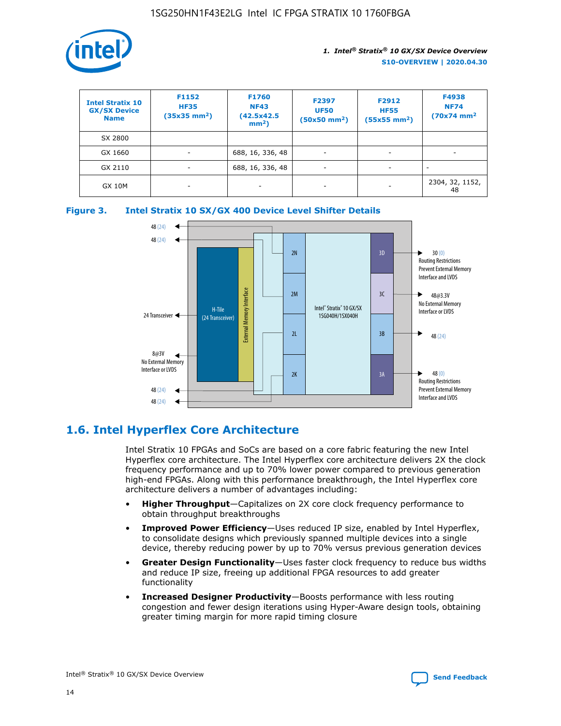

| <b>Intel Stratix 10</b><br><b>GX/SX Device</b><br><b>Name</b> | F1152<br><b>HF35</b><br>$(35x35)$ mm <sup>2</sup> ) | F1760<br><b>NF43</b><br>(42.5x42.5<br>$mm2$ ) | F2397<br><b>UF50</b><br>$(50x50 \text{ mm}^2)$ | F2912<br><b>HF55</b><br>$(55x55$ mm <sup>2</sup> ) | F4938<br><b>NF74</b><br>$(70x74)$ mm <sup>2</sup> |
|---------------------------------------------------------------|-----------------------------------------------------|-----------------------------------------------|------------------------------------------------|----------------------------------------------------|---------------------------------------------------|
| SX 2800                                                       |                                                     |                                               |                                                |                                                    |                                                   |
| GX 1660                                                       | -                                                   | 688, 16, 336, 48                              | $\overline{\phantom{a}}$                       |                                                    |                                                   |
| GX 2110                                                       |                                                     | 688, 16, 336, 48                              | $\overline{\phantom{a}}$                       |                                                    |                                                   |
| <b>GX 10M</b>                                                 | ۰                                                   |                                               |                                                |                                                    | 2304, 32, 1152,<br>48                             |





### **1.6. Intel Hyperflex Core Architecture**

Intel Stratix 10 FPGAs and SoCs are based on a core fabric featuring the new Intel Hyperflex core architecture. The Intel Hyperflex core architecture delivers 2X the clock frequency performance and up to 70% lower power compared to previous generation high-end FPGAs. Along with this performance breakthrough, the Intel Hyperflex core architecture delivers a number of advantages including:

- **Higher Throughput**—Capitalizes on 2X core clock frequency performance to obtain throughput breakthroughs
- **Improved Power Efficiency**—Uses reduced IP size, enabled by Intel Hyperflex, to consolidate designs which previously spanned multiple devices into a single device, thereby reducing power by up to 70% versus previous generation devices
- **Greater Design Functionality**—Uses faster clock frequency to reduce bus widths and reduce IP size, freeing up additional FPGA resources to add greater functionality
- **Increased Designer Productivity**—Boosts performance with less routing congestion and fewer design iterations using Hyper-Aware design tools, obtaining greater timing margin for more rapid timing closure

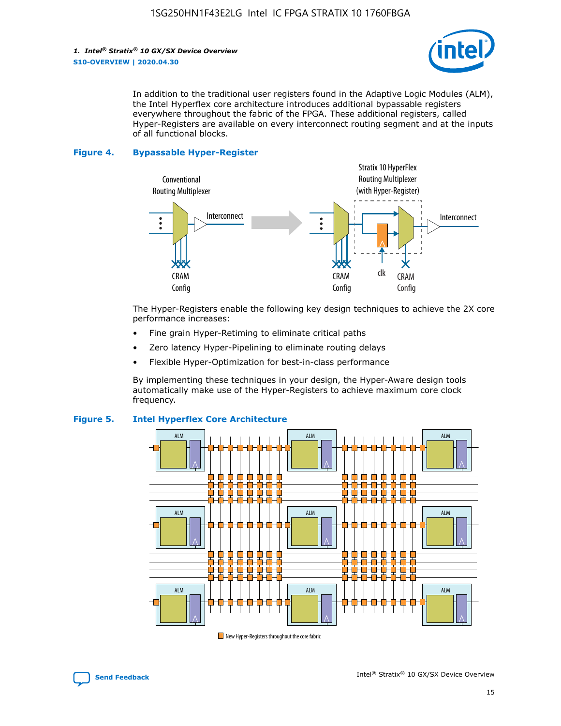

In addition to the traditional user registers found in the Adaptive Logic Modules (ALM), the Intel Hyperflex core architecture introduces additional bypassable registers everywhere throughout the fabric of the FPGA. These additional registers, called Hyper-Registers are available on every interconnect routing segment and at the inputs of all functional blocks.

#### **Figure 4. Bypassable Hyper-Register**



The Hyper-Registers enable the following key design techniques to achieve the 2X core performance increases:

- Fine grain Hyper-Retiming to eliminate critical paths
- Zero latency Hyper-Pipelining to eliminate routing delays
- Flexible Hyper-Optimization for best-in-class performance

By implementing these techniques in your design, the Hyper-Aware design tools automatically make use of the Hyper-Registers to achieve maximum core clock frequency.



### **Figure 5. Intel Hyperflex Core Architecture**

New Hyper-Registers throughout the core fabric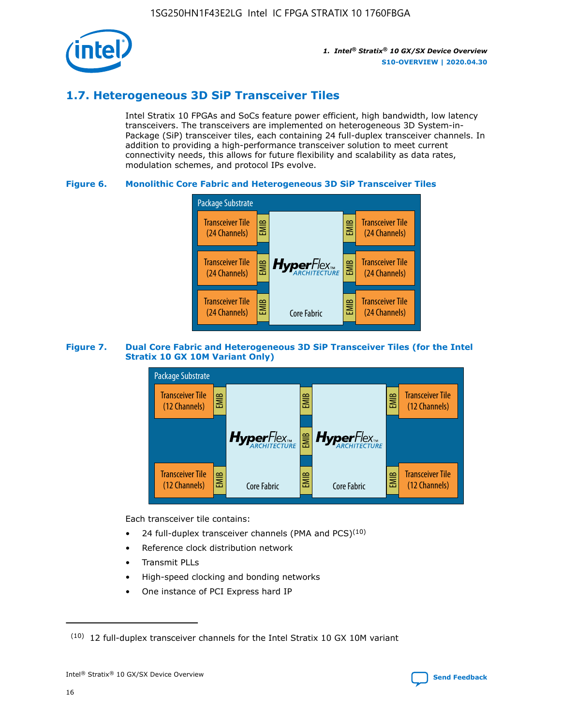

### **1.7. Heterogeneous 3D SiP Transceiver Tiles**

Intel Stratix 10 FPGAs and SoCs feature power efficient, high bandwidth, low latency transceivers. The transceivers are implemented on heterogeneous 3D System-in-Package (SiP) transceiver tiles, each containing 24 full-duplex transceiver channels. In addition to providing a high-performance transceiver solution to meet current connectivity needs, this allows for future flexibility and scalability as data rates, modulation schemes, and protocol IPs evolve.

### **Figure 6. Monolithic Core Fabric and Heterogeneous 3D SiP Transceiver Tiles**



### **Figure 7. Dual Core Fabric and Heterogeneous 3D SiP Transceiver Tiles (for the Intel Stratix 10 GX 10M Variant Only)**



Each transceiver tile contains:

- 24 full-duplex transceiver channels (PMA and PCS) $(10)$
- Reference clock distribution network
- Transmit PLLs
- High-speed clocking and bonding networks
- One instance of PCI Express hard IP



 $(10)$  12 full-duplex transceiver channels for the Intel Stratix 10 GX 10M variant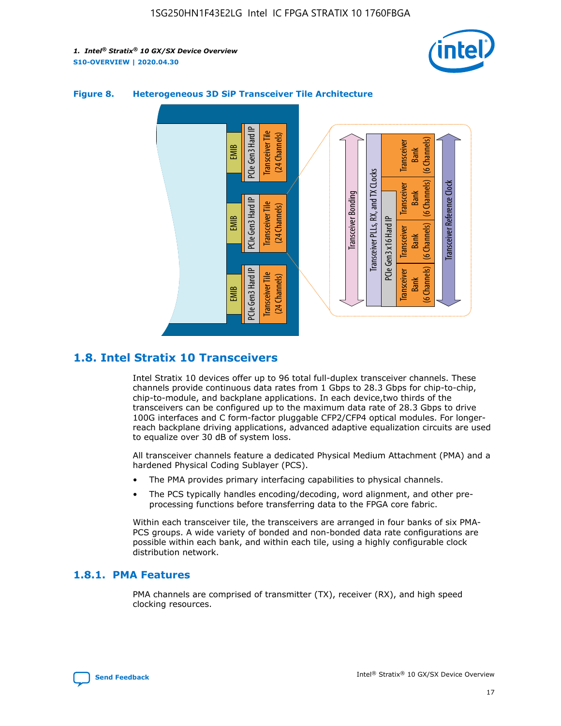



### **Figure 8. Heterogeneous 3D SiP Transceiver Tile Architecture**

### **1.8. Intel Stratix 10 Transceivers**

Intel Stratix 10 devices offer up to 96 total full-duplex transceiver channels. These channels provide continuous data rates from 1 Gbps to 28.3 Gbps for chip-to-chip, chip-to-module, and backplane applications. In each device,two thirds of the transceivers can be configured up to the maximum data rate of 28.3 Gbps to drive 100G interfaces and C form-factor pluggable CFP2/CFP4 optical modules. For longerreach backplane driving applications, advanced adaptive equalization circuits are used to equalize over 30 dB of system loss.

All transceiver channels feature a dedicated Physical Medium Attachment (PMA) and a hardened Physical Coding Sublayer (PCS).

- The PMA provides primary interfacing capabilities to physical channels.
- The PCS typically handles encoding/decoding, word alignment, and other preprocessing functions before transferring data to the FPGA core fabric.

Within each transceiver tile, the transceivers are arranged in four banks of six PMA-PCS groups. A wide variety of bonded and non-bonded data rate configurations are possible within each bank, and within each tile, using a highly configurable clock distribution network.

### **1.8.1. PMA Features**

PMA channels are comprised of transmitter (TX), receiver (RX), and high speed clocking resources.

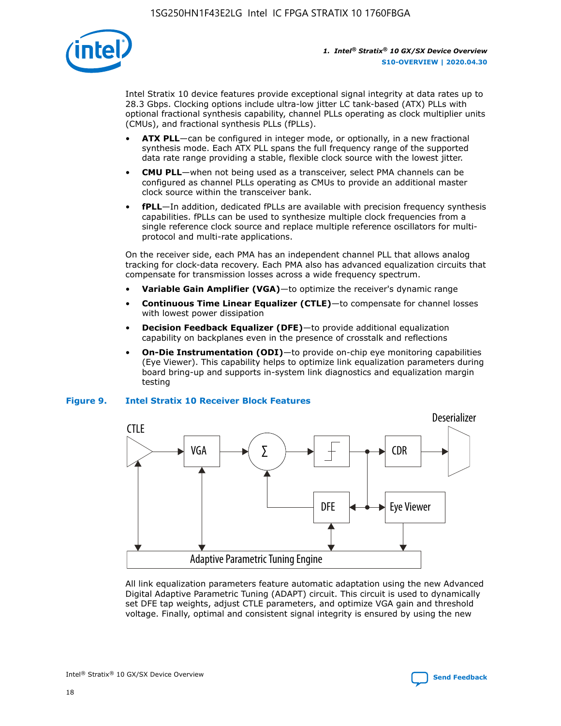

Intel Stratix 10 device features provide exceptional signal integrity at data rates up to 28.3 Gbps. Clocking options include ultra-low jitter LC tank-based (ATX) PLLs with optional fractional synthesis capability, channel PLLs operating as clock multiplier units (CMUs), and fractional synthesis PLLs (fPLLs).

- **ATX PLL**—can be configured in integer mode, or optionally, in a new fractional synthesis mode. Each ATX PLL spans the full frequency range of the supported data rate range providing a stable, flexible clock source with the lowest jitter.
- **CMU PLL**—when not being used as a transceiver, select PMA channels can be configured as channel PLLs operating as CMUs to provide an additional master clock source within the transceiver bank.
- **fPLL**—In addition, dedicated fPLLs are available with precision frequency synthesis capabilities. fPLLs can be used to synthesize multiple clock frequencies from a single reference clock source and replace multiple reference oscillators for multiprotocol and multi-rate applications.

On the receiver side, each PMA has an independent channel PLL that allows analog tracking for clock-data recovery. Each PMA also has advanced equalization circuits that compensate for transmission losses across a wide frequency spectrum.

- **Variable Gain Amplifier (VGA)**—to optimize the receiver's dynamic range
- **Continuous Time Linear Equalizer (CTLE)**—to compensate for channel losses with lowest power dissipation
- **Decision Feedback Equalizer (DFE)**—to provide additional equalization capability on backplanes even in the presence of crosstalk and reflections
- **On-Die Instrumentation (ODI)**—to provide on-chip eye monitoring capabilities (Eye Viewer). This capability helps to optimize link equalization parameters during board bring-up and supports in-system link diagnostics and equalization margin testing

#### **Figure 9. Intel Stratix 10 Receiver Block Features**



All link equalization parameters feature automatic adaptation using the new Advanced Digital Adaptive Parametric Tuning (ADAPT) circuit. This circuit is used to dynamically set DFE tap weights, adjust CTLE parameters, and optimize VGA gain and threshold voltage. Finally, optimal and consistent signal integrity is ensured by using the new



Intel<sup>®</sup> Stratix<sup>®</sup> 10 GX/SX Device Overview **[Send Feedback](mailto:FPGAtechdocfeedback@intel.com?subject=Feedback%20on%20Intel%20Stratix%2010%20GX/SX%20Device%20Overview%20(S10-OVERVIEW%202020.04.30)&body=We%20appreciate%20your%20feedback.%20In%20your%20comments,%20also%20specify%20the%20page%20number%20or%20paragraph.%20Thank%20you.)** Send Feedback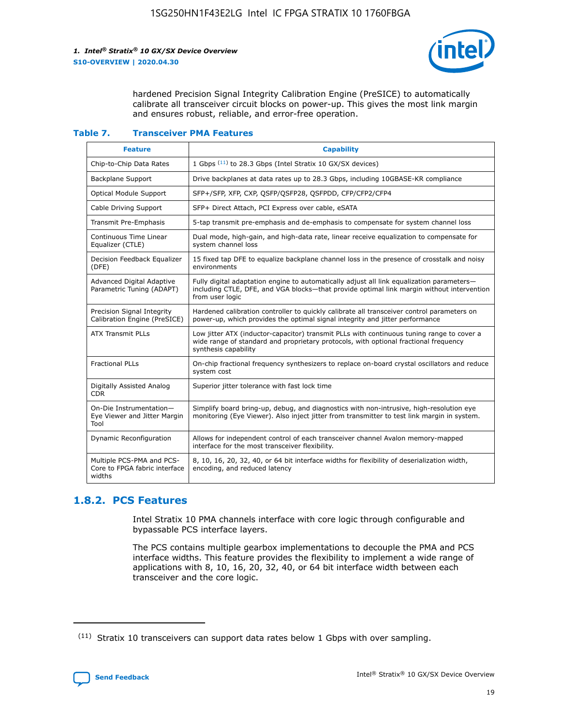

hardened Precision Signal Integrity Calibration Engine (PreSICE) to automatically calibrate all transceiver circuit blocks on power-up. This gives the most link margin and ensures robust, reliable, and error-free operation.

#### **Table 7. Transceiver PMA Features**

| <b>Feature</b>                                                       | <b>Capability</b>                                                                                                                                                                                         |
|----------------------------------------------------------------------|-----------------------------------------------------------------------------------------------------------------------------------------------------------------------------------------------------------|
| Chip-to-Chip Data Rates                                              | 1 Gbps (11) to 28.3 Gbps (Intel Stratix 10 GX/SX devices)                                                                                                                                                 |
| <b>Backplane Support</b>                                             | Drive backplanes at data rates up to 28.3 Gbps, including 10GBASE-KR compliance                                                                                                                           |
| Optical Module Support                                               | SFP+/SFP, XFP, CXP, QSFP/QSFP28, QSFPDD, CFP/CFP2/CFP4                                                                                                                                                    |
| Cable Driving Support                                                | SFP+ Direct Attach, PCI Express over cable, eSATA                                                                                                                                                         |
| <b>Transmit Pre-Emphasis</b>                                         | 5-tap transmit pre-emphasis and de-emphasis to compensate for system channel loss                                                                                                                         |
| Continuous Time Linear<br>Equalizer (CTLE)                           | Dual mode, high-gain, and high-data rate, linear receive equalization to compensate for<br>system channel loss                                                                                            |
| Decision Feedback Equalizer<br>(DFE)                                 | 15 fixed tap DFE to equalize backplane channel loss in the presence of crosstalk and noisy<br>environments                                                                                                |
| Advanced Digital Adaptive<br>Parametric Tuning (ADAPT)               | Fully digital adaptation engine to automatically adjust all link equalization parameters-<br>including CTLE, DFE, and VGA blocks—that provide optimal link margin without intervention<br>from user logic |
| Precision Signal Integrity<br>Calibration Engine (PreSICE)           | Hardened calibration controller to quickly calibrate all transceiver control parameters on<br>power-up, which provides the optimal signal integrity and jitter performance                                |
| <b>ATX Transmit PLLs</b>                                             | Low jitter ATX (inductor-capacitor) transmit PLLs with continuous tuning range to cover a<br>wide range of standard and proprietary protocols, with optional fractional frequency<br>synthesis capability |
| <b>Fractional PLLs</b>                                               | On-chip fractional frequency synthesizers to replace on-board crystal oscillators and reduce<br>system cost                                                                                               |
| Digitally Assisted Analog<br>CDR.                                    | Superior jitter tolerance with fast lock time                                                                                                                                                             |
| On-Die Instrumentation-<br>Eye Viewer and Jitter Margin<br>Tool      | Simplify board bring-up, debug, and diagnostics with non-intrusive, high-resolution eye<br>monitoring (Eye Viewer). Also inject jitter from transmitter to test link margin in system.                    |
| Dynamic Reconfiguration                                              | Allows for independent control of each transceiver channel Avalon memory-mapped<br>interface for the most transceiver flexibility.                                                                        |
| Multiple PCS-PMA and PCS-<br>Core to FPGA fabric interface<br>widths | 8, 10, 16, 20, 32, 40, or 64 bit interface widths for flexibility of deserialization width,<br>encoding, and reduced latency                                                                              |

### **1.8.2. PCS Features**

Intel Stratix 10 PMA channels interface with core logic through configurable and bypassable PCS interface layers.

The PCS contains multiple gearbox implementations to decouple the PMA and PCS interface widths. This feature provides the flexibility to implement a wide range of applications with 8, 10, 16, 20, 32, 40, or 64 bit interface width between each transceiver and the core logic.

 $(11)$  Stratix 10 transceivers can support data rates below 1 Gbps with over sampling.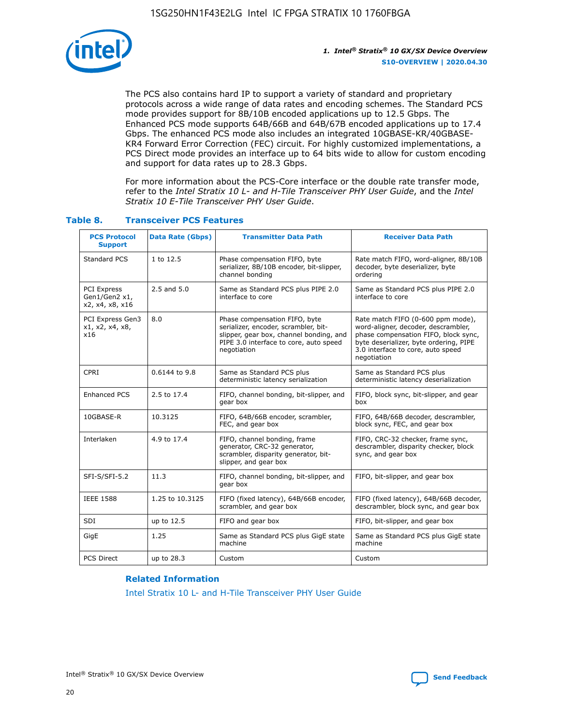

The PCS also contains hard IP to support a variety of standard and proprietary protocols across a wide range of data rates and encoding schemes. The Standard PCS mode provides support for 8B/10B encoded applications up to 12.5 Gbps. The Enhanced PCS mode supports 64B/66B and 64B/67B encoded applications up to 17.4 Gbps. The enhanced PCS mode also includes an integrated 10GBASE-KR/40GBASE-KR4 Forward Error Correction (FEC) circuit. For highly customized implementations, a PCS Direct mode provides an interface up to 64 bits wide to allow for custom encoding and support for data rates up to 28.3 Gbps.

For more information about the PCS-Core interface or the double rate transfer mode, refer to the *Intel Stratix 10 L- and H-Tile Transceiver PHY User Guide*, and the *Intel Stratix 10 E-Tile Transceiver PHY User Guide*.

| <b>PCS Protocol</b><br><b>Support</b>           | <b>Data Rate (Gbps)</b> | <b>Transmitter Data Path</b>                                                                                                                                              | <b>Receiver Data Path</b>                                                                                                                                                                                      |
|-------------------------------------------------|-------------------------|---------------------------------------------------------------------------------------------------------------------------------------------------------------------------|----------------------------------------------------------------------------------------------------------------------------------------------------------------------------------------------------------------|
| Standard PCS                                    | 1 to 12.5               | Phase compensation FIFO, byte<br>serializer, 8B/10B encoder, bit-slipper,<br>channel bonding                                                                              | Rate match FIFO, word-aligner, 8B/10B<br>decoder, byte deserializer, byte<br>ordering                                                                                                                          |
| PCI Express<br>Gen1/Gen2 x1,<br>x2, x4, x8, x16 | $2.5$ and $5.0$         | Same as Standard PCS plus PIPE 2.0<br>interface to core                                                                                                                   | Same as Standard PCS plus PIPE 2.0<br>interface to core                                                                                                                                                        |
| PCI Express Gen3<br>x1, x2, x4, x8,<br>x16      | 8.0                     | Phase compensation FIFO, byte<br>serializer, encoder, scrambler, bit-<br>slipper, gear box, channel bonding, and<br>PIPE 3.0 interface to core, auto speed<br>negotiation | Rate match FIFO (0-600 ppm mode),<br>word-aligner, decoder, descrambler,<br>phase compensation FIFO, block sync,<br>byte deserializer, byte ordering, PIPE<br>3.0 interface to core, auto speed<br>negotiation |
| CPRI                                            | 0.6144 to 9.8           | Same as Standard PCS plus<br>deterministic latency serialization                                                                                                          | Same as Standard PCS plus<br>deterministic latency deserialization                                                                                                                                             |
| <b>Enhanced PCS</b>                             | 2.5 to 17.4             | FIFO, channel bonding, bit-slipper, and<br>gear box                                                                                                                       | FIFO, block sync, bit-slipper, and gear<br>box                                                                                                                                                                 |
| 10GBASE-R                                       | 10.3125                 | FIFO, 64B/66B encoder, scrambler,<br>FEC, and gear box                                                                                                                    | FIFO, 64B/66B decoder, descrambler,<br>block sync, FEC, and gear box                                                                                                                                           |
| Interlaken                                      | 4.9 to 17.4             | FIFO, channel bonding, frame<br>generator, CRC-32 generator,<br>scrambler, disparity generator, bit-<br>slipper, and gear box                                             | FIFO, CRC-32 checker, frame sync,<br>descrambler, disparity checker, block<br>sync, and gear box                                                                                                               |
| SFI-S/SFI-5.2                                   | 11.3                    | FIFO, channel bonding, bit-slipper, and<br>gear box                                                                                                                       | FIFO, bit-slipper, and gear box                                                                                                                                                                                |
| <b>IEEE 1588</b>                                | 1.25 to 10.3125         | FIFO (fixed latency), 64B/66B encoder,<br>scrambler, and gear box                                                                                                         | FIFO (fixed latency), 64B/66B decoder,<br>descrambler, block sync, and gear box                                                                                                                                |
| SDI                                             | up to 12.5              | FIFO and gear box                                                                                                                                                         | FIFO, bit-slipper, and gear box                                                                                                                                                                                |
| GigE                                            | 1.25                    | Same as Standard PCS plus GigE state<br>machine                                                                                                                           | Same as Standard PCS plus GigE state<br>machine                                                                                                                                                                |
| <b>PCS Direct</b>                               | up to 28.3              | Custom                                                                                                                                                                    | Custom                                                                                                                                                                                                         |

### **Table 8. Transceiver PCS Features**

#### **Related Information**

[Intel Stratix 10 L- and H-Tile Transceiver PHY User Guide](https://www.altera.com/documentation/wry1479165198810.html)

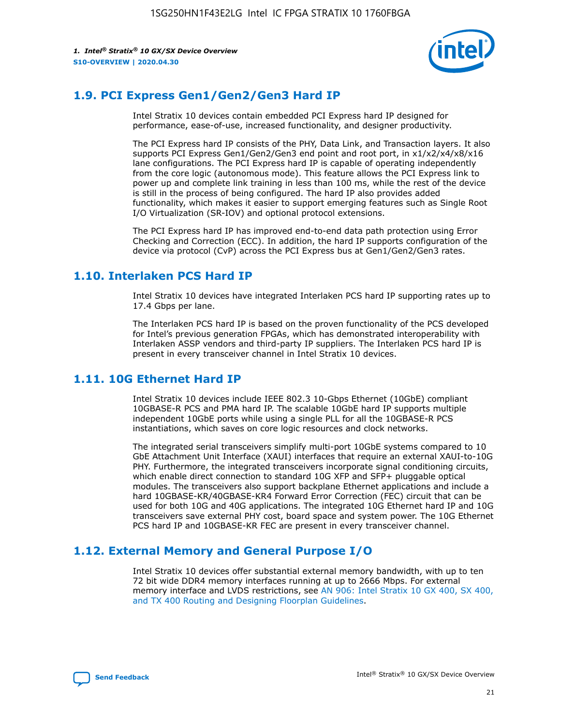

### **1.9. PCI Express Gen1/Gen2/Gen3 Hard IP**

Intel Stratix 10 devices contain embedded PCI Express hard IP designed for performance, ease-of-use, increased functionality, and designer productivity.

The PCI Express hard IP consists of the PHY, Data Link, and Transaction layers. It also supports PCI Express Gen1/Gen2/Gen3 end point and root port, in x1/x2/x4/x8/x16 lane configurations. The PCI Express hard IP is capable of operating independently from the core logic (autonomous mode). This feature allows the PCI Express link to power up and complete link training in less than 100 ms, while the rest of the device is still in the process of being configured. The hard IP also provides added functionality, which makes it easier to support emerging features such as Single Root I/O Virtualization (SR-IOV) and optional protocol extensions.

The PCI Express hard IP has improved end-to-end data path protection using Error Checking and Correction (ECC). In addition, the hard IP supports configuration of the device via protocol (CvP) across the PCI Express bus at Gen1/Gen2/Gen3 rates.

### **1.10. Interlaken PCS Hard IP**

Intel Stratix 10 devices have integrated Interlaken PCS hard IP supporting rates up to 17.4 Gbps per lane.

The Interlaken PCS hard IP is based on the proven functionality of the PCS developed for Intel's previous generation FPGAs, which has demonstrated interoperability with Interlaken ASSP vendors and third-party IP suppliers. The Interlaken PCS hard IP is present in every transceiver channel in Intel Stratix 10 devices.

### **1.11. 10G Ethernet Hard IP**

Intel Stratix 10 devices include IEEE 802.3 10-Gbps Ethernet (10GbE) compliant 10GBASE-R PCS and PMA hard IP. The scalable 10GbE hard IP supports multiple independent 10GbE ports while using a single PLL for all the 10GBASE-R PCS instantiations, which saves on core logic resources and clock networks.

The integrated serial transceivers simplify multi-port 10GbE systems compared to 10 GbE Attachment Unit Interface (XAUI) interfaces that require an external XAUI-to-10G PHY. Furthermore, the integrated transceivers incorporate signal conditioning circuits, which enable direct connection to standard 10G XFP and SFP+ pluggable optical modules. The transceivers also support backplane Ethernet applications and include a hard 10GBASE-KR/40GBASE-KR4 Forward Error Correction (FEC) circuit that can be used for both 10G and 40G applications. The integrated 10G Ethernet hard IP and 10G transceivers save external PHY cost, board space and system power. The 10G Ethernet PCS hard IP and 10GBASE-KR FEC are present in every transceiver channel.

### **1.12. External Memory and General Purpose I/O**

Intel Stratix 10 devices offer substantial external memory bandwidth, with up to ten 72 bit wide DDR4 memory interfaces running at up to 2666 Mbps. For external memory interface and LVDS restrictions, see [AN 906: Intel Stratix 10 GX 400, SX 400,](https://www.intel.com/content/www/us/en/programmable/documentation/sjf1574667190623.html#bft1574667627484) [and TX 400 Routing and Designing Floorplan Guidelines.](https://www.intel.com/content/www/us/en/programmable/documentation/sjf1574667190623.html#bft1574667627484)

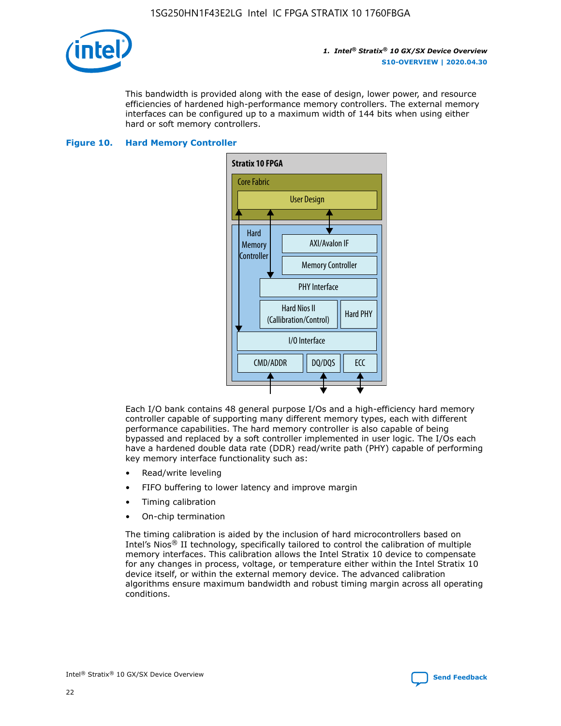

This bandwidth is provided along with the ease of design, lower power, and resource efficiencies of hardened high-performance memory controllers. The external memory interfaces can be configured up to a maximum width of 144 bits when using either hard or soft memory controllers.

#### **Figure 10. Hard Memory Controller**



Each I/O bank contains 48 general purpose I/Os and a high-efficiency hard memory controller capable of supporting many different memory types, each with different performance capabilities. The hard memory controller is also capable of being bypassed and replaced by a soft controller implemented in user logic. The I/Os each have a hardened double data rate (DDR) read/write path (PHY) capable of performing key memory interface functionality such as:

- Read/write leveling
- FIFO buffering to lower latency and improve margin
- Timing calibration
- On-chip termination

The timing calibration is aided by the inclusion of hard microcontrollers based on Intel's Nios® II technology, specifically tailored to control the calibration of multiple memory interfaces. This calibration allows the Intel Stratix 10 device to compensate for any changes in process, voltage, or temperature either within the Intel Stratix 10 device itself, or within the external memory device. The advanced calibration algorithms ensure maximum bandwidth and robust timing margin across all operating conditions.

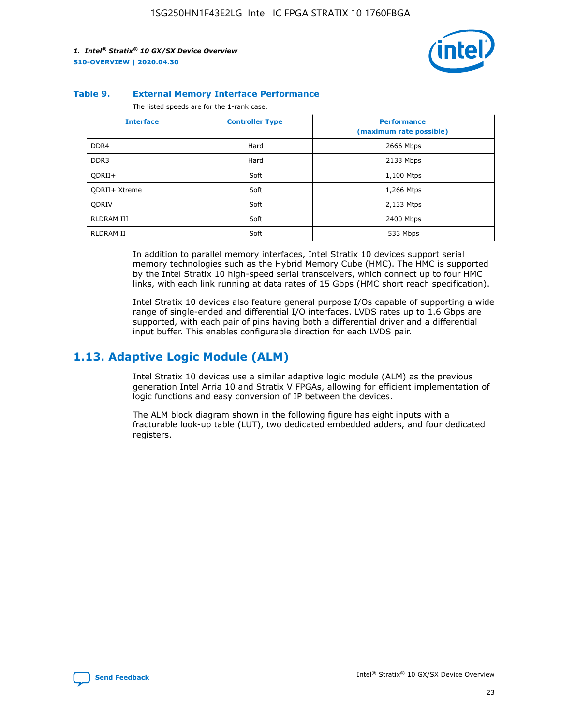

#### **Table 9. External Memory Interface Performance**

The listed speeds are for the 1-rank case.

| <b>Interface</b>     | <b>Controller Type</b> | <b>Performance</b><br>(maximum rate possible) |
|----------------------|------------------------|-----------------------------------------------|
| DDR4                 | Hard                   | 2666 Mbps                                     |
| DDR <sub>3</sub>     | Hard                   | 2133 Mbps                                     |
| QDRII+               | Soft                   | 1,100 Mtps                                    |
| <b>ODRII+ Xtreme</b> | Soft                   | 1,266 Mtps                                    |
| <b>ODRIV</b>         | Soft                   | 2,133 Mtps                                    |
| RLDRAM III           | Soft                   | 2400 Mbps                                     |
| <b>RLDRAM II</b>     | Soft                   | 533 Mbps                                      |

In addition to parallel memory interfaces, Intel Stratix 10 devices support serial memory technologies such as the Hybrid Memory Cube (HMC). The HMC is supported by the Intel Stratix 10 high-speed serial transceivers, which connect up to four HMC links, with each link running at data rates of 15 Gbps (HMC short reach specification).

Intel Stratix 10 devices also feature general purpose I/Os capable of supporting a wide range of single-ended and differential I/O interfaces. LVDS rates up to 1.6 Gbps are supported, with each pair of pins having both a differential driver and a differential input buffer. This enables configurable direction for each LVDS pair.

### **1.13. Adaptive Logic Module (ALM)**

Intel Stratix 10 devices use a similar adaptive logic module (ALM) as the previous generation Intel Arria 10 and Stratix V FPGAs, allowing for efficient implementation of logic functions and easy conversion of IP between the devices.

The ALM block diagram shown in the following figure has eight inputs with a fracturable look-up table (LUT), two dedicated embedded adders, and four dedicated registers.

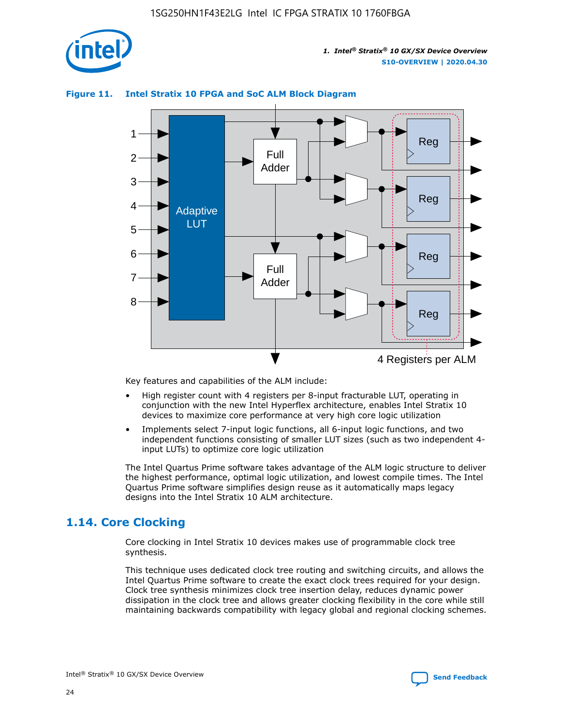

### **Figure 11. Intel Stratix 10 FPGA and SoC ALM Block Diagram**



Key features and capabilities of the ALM include:

- High register count with 4 registers per 8-input fracturable LUT, operating in conjunction with the new Intel Hyperflex architecture, enables Intel Stratix 10 devices to maximize core performance at very high core logic utilization
- Implements select 7-input logic functions, all 6-input logic functions, and two independent functions consisting of smaller LUT sizes (such as two independent 4 input LUTs) to optimize core logic utilization

The Intel Quartus Prime software takes advantage of the ALM logic structure to deliver the highest performance, optimal logic utilization, and lowest compile times. The Intel Quartus Prime software simplifies design reuse as it automatically maps legacy designs into the Intel Stratix 10 ALM architecture.

### **1.14. Core Clocking**

Core clocking in Intel Stratix 10 devices makes use of programmable clock tree synthesis.

This technique uses dedicated clock tree routing and switching circuits, and allows the Intel Quartus Prime software to create the exact clock trees required for your design. Clock tree synthesis minimizes clock tree insertion delay, reduces dynamic power dissipation in the clock tree and allows greater clocking flexibility in the core while still maintaining backwards compatibility with legacy global and regional clocking schemes.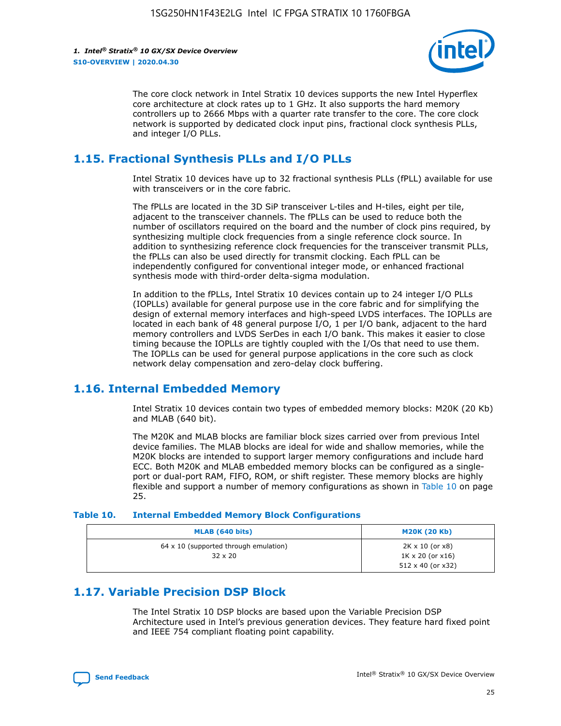

The core clock network in Intel Stratix 10 devices supports the new Intel Hyperflex core architecture at clock rates up to 1 GHz. It also supports the hard memory controllers up to 2666 Mbps with a quarter rate transfer to the core. The core clock network is supported by dedicated clock input pins, fractional clock synthesis PLLs, and integer I/O PLLs.

### **1.15. Fractional Synthesis PLLs and I/O PLLs**

Intel Stratix 10 devices have up to 32 fractional synthesis PLLs (fPLL) available for use with transceivers or in the core fabric.

The fPLLs are located in the 3D SiP transceiver L-tiles and H-tiles, eight per tile, adjacent to the transceiver channels. The fPLLs can be used to reduce both the number of oscillators required on the board and the number of clock pins required, by synthesizing multiple clock frequencies from a single reference clock source. In addition to synthesizing reference clock frequencies for the transceiver transmit PLLs, the fPLLs can also be used directly for transmit clocking. Each fPLL can be independently configured for conventional integer mode, or enhanced fractional synthesis mode with third-order delta-sigma modulation.

In addition to the fPLLs, Intel Stratix 10 devices contain up to 24 integer I/O PLLs (IOPLLs) available for general purpose use in the core fabric and for simplifying the design of external memory interfaces and high-speed LVDS interfaces. The IOPLLs are located in each bank of 48 general purpose I/O, 1 per I/O bank, adjacent to the hard memory controllers and LVDS SerDes in each I/O bank. This makes it easier to close timing because the IOPLLs are tightly coupled with the I/Os that need to use them. The IOPLLs can be used for general purpose applications in the core such as clock network delay compensation and zero-delay clock buffering.

### **1.16. Internal Embedded Memory**

Intel Stratix 10 devices contain two types of embedded memory blocks: M20K (20 Kb) and MLAB (640 bit).

The M20K and MLAB blocks are familiar block sizes carried over from previous Intel device families. The MLAB blocks are ideal for wide and shallow memories, while the M20K blocks are intended to support larger memory configurations and include hard ECC. Both M20K and MLAB embedded memory blocks can be configured as a singleport or dual-port RAM, FIFO, ROM, or shift register. These memory blocks are highly flexible and support a number of memory configurations as shown in Table 10 on page 25.

#### **Table 10. Internal Embedded Memory Block Configurations**

| MLAB (640 bits)                                                | <b>M20K (20 Kb)</b>                                                                    |
|----------------------------------------------------------------|----------------------------------------------------------------------------------------|
| $64 \times 10$ (supported through emulation)<br>$32 \times 20$ | $2K \times 10$ (or $x8$ )<br>$1K \times 20$ (or $x16$ )<br>$512 \times 40$ (or $x32$ ) |

### **1.17. Variable Precision DSP Block**

The Intel Stratix 10 DSP blocks are based upon the Variable Precision DSP Architecture used in Intel's previous generation devices. They feature hard fixed point and IEEE 754 compliant floating point capability.

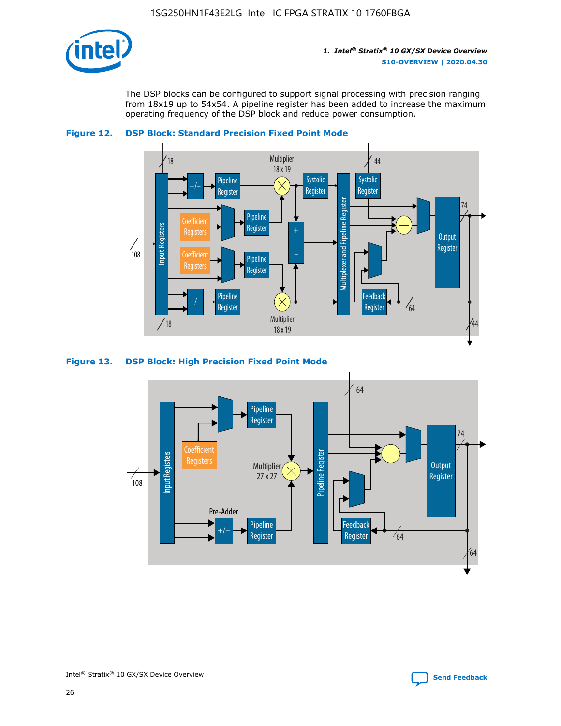

The DSP blocks can be configured to support signal processing with precision ranging from 18x19 up to 54x54. A pipeline register has been added to increase the maximum operating frequency of the DSP block and reduce power consumption.





#### **Figure 13. DSP Block: High Precision Fixed Point Mode**

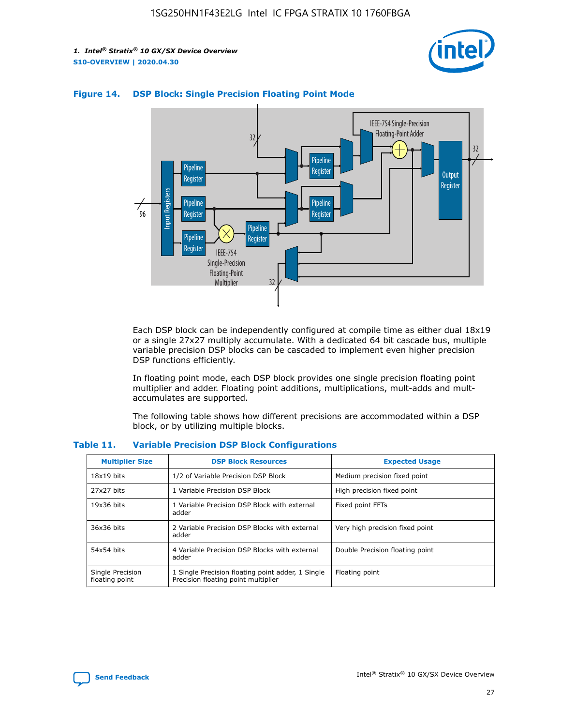



#### **Figure 14. DSP Block: Single Precision Floating Point Mode**

Each DSP block can be independently configured at compile time as either dual 18x19 or a single 27x27 multiply accumulate. With a dedicated 64 bit cascade bus, multiple variable precision DSP blocks can be cascaded to implement even higher precision DSP functions efficiently.

In floating point mode, each DSP block provides one single precision floating point multiplier and adder. Floating point additions, multiplications, mult-adds and multaccumulates are supported.

The following table shows how different precisions are accommodated within a DSP block, or by utilizing multiple blocks.

| <b>Multiplier Size</b>             | <b>DSP Block Resources</b>                                                               | <b>Expected Usage</b>           |
|------------------------------------|------------------------------------------------------------------------------------------|---------------------------------|
| $18x19$ bits                       | 1/2 of Variable Precision DSP Block                                                      | Medium precision fixed point    |
| 27x27 bits                         | 1 Variable Precision DSP Block                                                           | High precision fixed point      |
| $19x36$ bits                       | 1 Variable Precision DSP Block with external<br>adder                                    | Fixed point FFTs                |
| 36x36 bits                         | 2 Variable Precision DSP Blocks with external<br>adder                                   | Very high precision fixed point |
| 54x54 bits                         | 4 Variable Precision DSP Blocks with external<br>adder                                   | Double Precision floating point |
| Single Precision<br>floating point | 1 Single Precision floating point adder, 1 Single<br>Precision floating point multiplier | Floating point                  |

#### **Table 11. Variable Precision DSP Block Configurations**

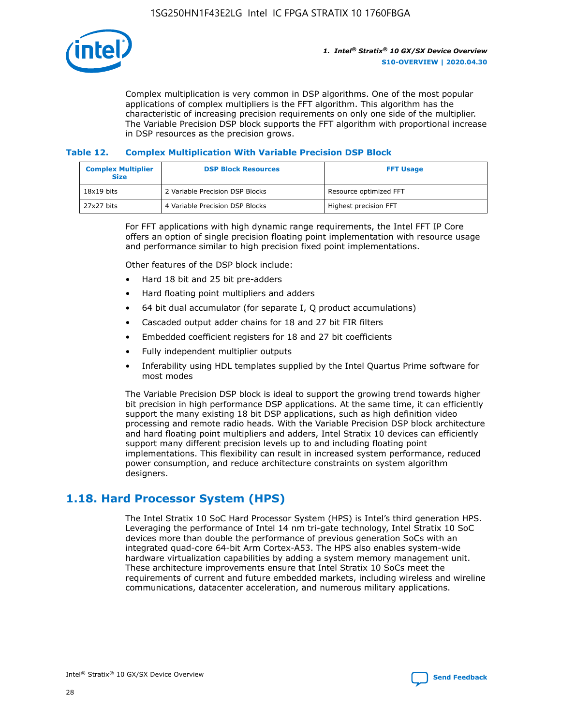

Complex multiplication is very common in DSP algorithms. One of the most popular applications of complex multipliers is the FFT algorithm. This algorithm has the characteristic of increasing precision requirements on only one side of the multiplier. The Variable Precision DSP block supports the FFT algorithm with proportional increase in DSP resources as the precision grows.

### **Table 12. Complex Multiplication With Variable Precision DSP Block**

| <b>Complex Multiplier</b><br><b>Size</b> | <b>DSP Block Resources</b>      | <b>FFT Usage</b>       |
|------------------------------------------|---------------------------------|------------------------|
| $18x19$ bits                             | 2 Variable Precision DSP Blocks | Resource optimized FFT |
| 27x27 bits                               | 4 Variable Precision DSP Blocks | Highest precision FFT  |

For FFT applications with high dynamic range requirements, the Intel FFT IP Core offers an option of single precision floating point implementation with resource usage and performance similar to high precision fixed point implementations.

Other features of the DSP block include:

- Hard 18 bit and 25 bit pre-adders
- Hard floating point multipliers and adders
- 64 bit dual accumulator (for separate I, Q product accumulations)
- Cascaded output adder chains for 18 and 27 bit FIR filters
- Embedded coefficient registers for 18 and 27 bit coefficients
- Fully independent multiplier outputs
- Inferability using HDL templates supplied by the Intel Quartus Prime software for most modes

The Variable Precision DSP block is ideal to support the growing trend towards higher bit precision in high performance DSP applications. At the same time, it can efficiently support the many existing 18 bit DSP applications, such as high definition video processing and remote radio heads. With the Variable Precision DSP block architecture and hard floating point multipliers and adders, Intel Stratix 10 devices can efficiently support many different precision levels up to and including floating point implementations. This flexibility can result in increased system performance, reduced power consumption, and reduce architecture constraints on system algorithm designers.

### **1.18. Hard Processor System (HPS)**

The Intel Stratix 10 SoC Hard Processor System (HPS) is Intel's third generation HPS. Leveraging the performance of Intel 14 nm tri-gate technology, Intel Stratix 10 SoC devices more than double the performance of previous generation SoCs with an integrated quad-core 64-bit Arm Cortex-A53. The HPS also enables system-wide hardware virtualization capabilities by adding a system memory management unit. These architecture improvements ensure that Intel Stratix 10 SoCs meet the requirements of current and future embedded markets, including wireless and wireline communications, datacenter acceleration, and numerous military applications.

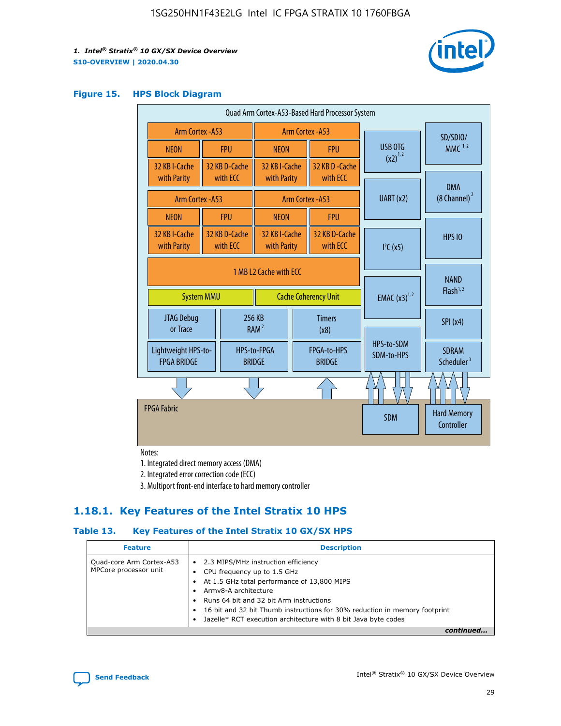

#### **Figure 15. HPS Block Diagram**

| Quad Arm Cortex-A53-Based Hard Processor System                            |  |                           |                                             |                                     |                           |                                        |                                  |
|----------------------------------------------------------------------------|--|---------------------------|---------------------------------------------|-------------------------------------|---------------------------|----------------------------------------|----------------------------------|
| <b>Arm Cortex - A53</b>                                                    |  |                           | Arm Cortex - A53                            |                                     |                           | SD/SDIO/                               |                                  |
| <b>NEON</b>                                                                |  | <b>FPU</b>                | <b>NEON</b>                                 |                                     | <b>FPU</b>                | USB OTG                                | $MMC$ <sup>1,2</sup>             |
| 32 KB I-Cache                                                              |  | 32 KB D-Cache             | 32 KB I-Cache                               |                                     | 32 KB D - Cache           | $(x2)^{1,2}$                           |                                  |
| with Parity                                                                |  | with ECC                  | with Parity                                 |                                     | with ECC                  |                                        | <b>DMA</b>                       |
| <b>Arm Cortex - A53</b>                                                    |  |                           |                                             |                                     | Arm Cortex - A53          | UART (x2)                              | $(8$ Channel) $^2$               |
| <b>NEON</b>                                                                |  | <b>FPU</b>                | <b>NEON</b>                                 |                                     | <b>FPU</b>                |                                        |                                  |
| 32 KB I-Cache<br>with Parity                                               |  | 32 KB D-Cache<br>with ECC | 32 KB I-Cache<br>with Parity                |                                     | 32 KB D-Cache<br>with ECC | I <sup>2</sup> C(x5)                   | <b>HPS 10</b>                    |
| 1 MB L2 Cache with ECC<br><b>System MMU</b><br><b>Cache Coherency Unit</b> |  |                           | <b>EMAC</b> $(x3)^{1,2}$                    | <b>NAND</b><br>Flash <sup>1,2</sup> |                           |                                        |                                  |
| JTAG Debug<br>or Trace                                                     |  | 256 KB                    | <b>Timers</b><br>RAM <sup>2</sup><br>(x8)   |                                     |                           | <b>SPI</b> (x4)                        |                                  |
| Lightweight HPS-to-<br><b>FPGA BRIDGE</b>                                  |  | <b>BRIDGE</b>             | FPGA-to-HPS<br>HPS-to-FPGA<br><b>BRIDGE</b> |                                     | HPS-to-SDM<br>SDM-to-HPS  | <b>SDRAM</b><br>Scheduler <sup>3</sup> |                                  |
|                                                                            |  |                           |                                             |                                     |                           |                                        |                                  |
| <b>FPGA Fabric</b>                                                         |  |                           |                                             |                                     |                           | <b>SDM</b>                             | <b>Hard Memory</b><br>Controller |

Notes:

1. Integrated direct memory access (DMA)

2. Integrated error correction code (ECC)

3. Multiport front-end interface to hard memory controller

### **1.18.1. Key Features of the Intel Stratix 10 HPS**

### **Table 13. Key Features of the Intel Stratix 10 GX/SX HPS**

| <b>Feature</b>                                    | <b>Description</b>                                                                                                                                                                                                                                                                                                                                     |
|---------------------------------------------------|--------------------------------------------------------------------------------------------------------------------------------------------------------------------------------------------------------------------------------------------------------------------------------------------------------------------------------------------------------|
| Quad-core Arm Cortex-A53<br>MPCore processor unit | 2.3 MIPS/MHz instruction efficiency<br>$\bullet$<br>CPU frequency up to 1.5 GHz<br>٠<br>At 1.5 GHz total performance of 13,800 MIPS<br>Army8-A architecture<br>Runs 64 bit and 32 bit Arm instructions<br>16 bit and 32 bit Thumb instructions for 30% reduction in memory footprint<br>Jazelle* RCT execution architecture with 8 bit Java byte codes |
|                                                   |                                                                                                                                                                                                                                                                                                                                                        |

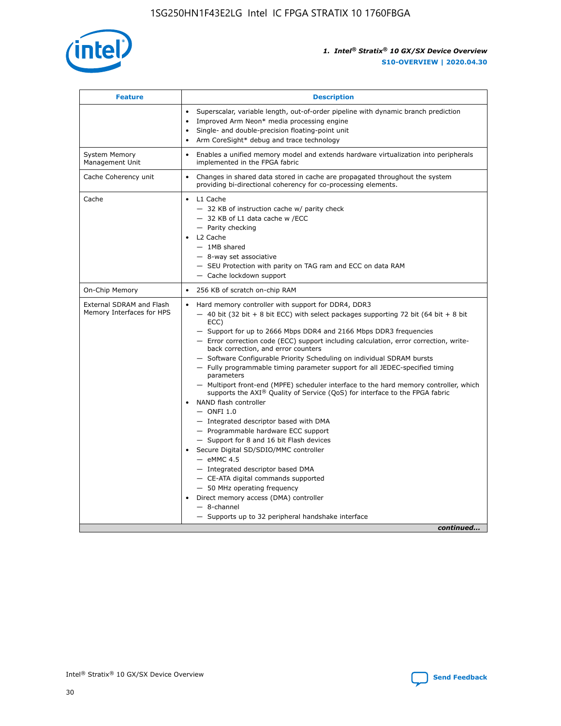

| <b>Feature</b>                                        | <b>Description</b>                                                                                                                                                                                                                                                                                                                                                                                                                                                                                                                                                                                                                                                                                                                                                                                                                                                                                                                                                                                                                                                                                                                                                                                                       |
|-------------------------------------------------------|--------------------------------------------------------------------------------------------------------------------------------------------------------------------------------------------------------------------------------------------------------------------------------------------------------------------------------------------------------------------------------------------------------------------------------------------------------------------------------------------------------------------------------------------------------------------------------------------------------------------------------------------------------------------------------------------------------------------------------------------------------------------------------------------------------------------------------------------------------------------------------------------------------------------------------------------------------------------------------------------------------------------------------------------------------------------------------------------------------------------------------------------------------------------------------------------------------------------------|
|                                                       | Superscalar, variable length, out-of-order pipeline with dynamic branch prediction<br>Improved Arm Neon* media processing engine<br>$\bullet$<br>Single- and double-precision floating-point unit<br>Arm CoreSight* debug and trace technology<br>$\bullet$                                                                                                                                                                                                                                                                                                                                                                                                                                                                                                                                                                                                                                                                                                                                                                                                                                                                                                                                                              |
| <b>System Memory</b><br>Management Unit               | Enables a unified memory model and extends hardware virtualization into peripherals<br>implemented in the FPGA fabric                                                                                                                                                                                                                                                                                                                                                                                                                                                                                                                                                                                                                                                                                                                                                                                                                                                                                                                                                                                                                                                                                                    |
| Cache Coherency unit                                  | Changes in shared data stored in cache are propagated throughout the system<br>$\bullet$<br>providing bi-directional coherency for co-processing elements.                                                                                                                                                                                                                                                                                                                                                                                                                                                                                                                                                                                                                                                                                                                                                                                                                                                                                                                                                                                                                                                               |
| Cache                                                 | L1 Cache<br>$\bullet$<br>- 32 KB of instruction cache w/ parity check<br>- 32 KB of L1 data cache w /ECC<br>- Parity checking<br>L <sub>2</sub> Cache<br>- 1MB shared<br>- 8-way set associative<br>- SEU Protection with parity on TAG ram and ECC on data RAM<br>- Cache lockdown support                                                                                                                                                                                                                                                                                                                                                                                                                                                                                                                                                                                                                                                                                                                                                                                                                                                                                                                              |
| On-Chip Memory                                        | 256 KB of scratch on-chip RAM                                                                                                                                                                                                                                                                                                                                                                                                                                                                                                                                                                                                                                                                                                                                                                                                                                                                                                                                                                                                                                                                                                                                                                                            |
| External SDRAM and Flash<br>Memory Interfaces for HPS | Hard memory controller with support for DDR4, DDR3<br>$\bullet$<br>$-$ 40 bit (32 bit + 8 bit ECC) with select packages supporting 72 bit (64 bit + 8 bit<br>ECC)<br>- Support for up to 2666 Mbps DDR4 and 2166 Mbps DDR3 frequencies<br>- Error correction code (ECC) support including calculation, error correction, write-<br>back correction, and error counters<br>- Software Configurable Priority Scheduling on individual SDRAM bursts<br>- Fully programmable timing parameter support for all JEDEC-specified timing<br>parameters<br>- Multiport front-end (MPFE) scheduler interface to the hard memory controller, which<br>supports the $AXI^{\circledR}$ Quality of Service (QoS) for interface to the FPGA fabric<br>NAND flash controller<br>$-$ ONFI 1.0<br>- Integrated descriptor based with DMA<br>- Programmable hardware ECC support<br>- Support for 8 and 16 bit Flash devices<br>Secure Digital SD/SDIO/MMC controller<br>$-$ eMMC 4.5<br>- Integrated descriptor based DMA<br>- CE-ATA digital commands supported<br>- 50 MHz operating frequency<br>Direct memory access (DMA) controller<br>$\bullet$<br>$-$ 8-channel<br>- Supports up to 32 peripheral handshake interface<br>continued |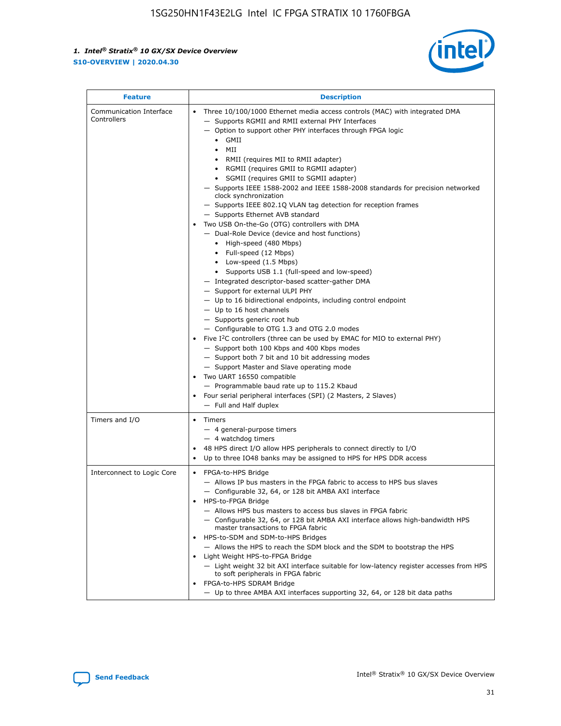

| <b>Feature</b>                         | <b>Description</b>                                                                                                                                                                                                                                                                                                                                                                                                                                                                                                                                                                                                                                                                                                                                                                                                                                                                                                                                                                                                                                                                                                                                                                                                                                                                                                                                                                                                                                                                                                     |
|----------------------------------------|------------------------------------------------------------------------------------------------------------------------------------------------------------------------------------------------------------------------------------------------------------------------------------------------------------------------------------------------------------------------------------------------------------------------------------------------------------------------------------------------------------------------------------------------------------------------------------------------------------------------------------------------------------------------------------------------------------------------------------------------------------------------------------------------------------------------------------------------------------------------------------------------------------------------------------------------------------------------------------------------------------------------------------------------------------------------------------------------------------------------------------------------------------------------------------------------------------------------------------------------------------------------------------------------------------------------------------------------------------------------------------------------------------------------------------------------------------------------------------------------------------------------|
| Communication Interface<br>Controllers | Three 10/100/1000 Ethernet media access controls (MAC) with integrated DMA<br>- Supports RGMII and RMII external PHY Interfaces<br>- Option to support other PHY interfaces through FPGA logic<br>$\bullet$ GMII<br>MII<br>$\bullet$<br>RMII (requires MII to RMII adapter)<br>$\bullet$<br>• RGMII (requires GMII to RGMII adapter)<br>• SGMII (requires GMII to SGMII adapter)<br>- Supports IEEE 1588-2002 and IEEE 1588-2008 standards for precision networked<br>clock synchronization<br>- Supports IEEE 802.1Q VLAN tag detection for reception frames<br>- Supports Ethernet AVB standard<br>Two USB On-the-Go (OTG) controllers with DMA<br>- Dual-Role Device (device and host functions)<br>• High-speed (480 Mbps)<br>• Full-speed (12 Mbps)<br>• Low-speed (1.5 Mbps)<br>• Supports USB 1.1 (full-speed and low-speed)<br>- Integrated descriptor-based scatter-gather DMA<br>- Support for external ULPI PHY<br>- Up to 16 bidirectional endpoints, including control endpoint<br>$-$ Up to 16 host channels<br>- Supports generic root hub<br>- Configurable to OTG 1.3 and OTG 2.0 modes<br>Five I <sup>2</sup> C controllers (three can be used by EMAC for MIO to external PHY)<br>- Support both 100 Kbps and 400 Kbps modes<br>- Support both 7 bit and 10 bit addressing modes<br>- Support Master and Slave operating mode<br>Two UART 16550 compatible<br>- Programmable baud rate up to 115.2 Kbaud<br>Four serial peripheral interfaces (SPI) (2 Masters, 2 Slaves)<br>- Full and Half duplex |
| Timers and I/O                         | • Timers<br>- 4 general-purpose timers<br>$-4$ watchdog timers<br>48 HPS direct I/O allow HPS peripherals to connect directly to I/O<br>Up to three IO48 banks may be assigned to HPS for HPS DDR access                                                                                                                                                                                                                                                                                                                                                                                                                                                                                                                                                                                                                                                                                                                                                                                                                                                                                                                                                                                                                                                                                                                                                                                                                                                                                                               |
| Interconnect to Logic Core             | • FPGA-to-HPS Bridge<br>- Allows IP bus masters in the FPGA fabric to access to HPS bus slaves<br>- Configurable 32, 64, or 128 bit AMBA AXI interface<br>HPS-to-FPGA Bridge<br>- Allows HPS bus masters to access bus slaves in FPGA fabric<br>- Configurable 32, 64, or 128 bit AMBA AXI interface allows high-bandwidth HPS<br>master transactions to FPGA fabric<br>HPS-to-SDM and SDM-to-HPS Bridges<br>- Allows the HPS to reach the SDM block and the SDM to bootstrap the HPS<br>Light Weight HPS-to-FPGA Bridge<br>- Light weight 32 bit AXI interface suitable for low-latency register accesses from HPS<br>to soft peripherals in FPGA fabric<br>FPGA-to-HPS SDRAM Bridge<br>- Up to three AMBA AXI interfaces supporting 32, 64, or 128 bit data paths                                                                                                                                                                                                                                                                                                                                                                                                                                                                                                                                                                                                                                                                                                                                                    |

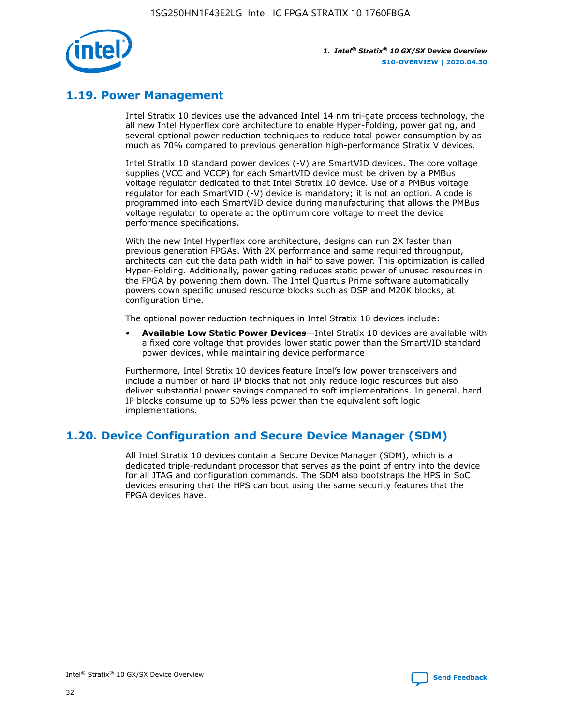

### **1.19. Power Management**

Intel Stratix 10 devices use the advanced Intel 14 nm tri-gate process technology, the all new Intel Hyperflex core architecture to enable Hyper-Folding, power gating, and several optional power reduction techniques to reduce total power consumption by as much as 70% compared to previous generation high-performance Stratix V devices.

Intel Stratix 10 standard power devices (-V) are SmartVID devices. The core voltage supplies (VCC and VCCP) for each SmartVID device must be driven by a PMBus voltage regulator dedicated to that Intel Stratix 10 device. Use of a PMBus voltage regulator for each SmartVID (-V) device is mandatory; it is not an option. A code is programmed into each SmartVID device during manufacturing that allows the PMBus voltage regulator to operate at the optimum core voltage to meet the device performance specifications.

With the new Intel Hyperflex core architecture, designs can run 2X faster than previous generation FPGAs. With 2X performance and same required throughput, architects can cut the data path width in half to save power. This optimization is called Hyper-Folding. Additionally, power gating reduces static power of unused resources in the FPGA by powering them down. The Intel Quartus Prime software automatically powers down specific unused resource blocks such as DSP and M20K blocks, at configuration time.

The optional power reduction techniques in Intel Stratix 10 devices include:

• **Available Low Static Power Devices**—Intel Stratix 10 devices are available with a fixed core voltage that provides lower static power than the SmartVID standard power devices, while maintaining device performance

Furthermore, Intel Stratix 10 devices feature Intel's low power transceivers and include a number of hard IP blocks that not only reduce logic resources but also deliver substantial power savings compared to soft implementations. In general, hard IP blocks consume up to 50% less power than the equivalent soft logic implementations.

### **1.20. Device Configuration and Secure Device Manager (SDM)**

All Intel Stratix 10 devices contain a Secure Device Manager (SDM), which is a dedicated triple-redundant processor that serves as the point of entry into the device for all JTAG and configuration commands. The SDM also bootstraps the HPS in SoC devices ensuring that the HPS can boot using the same security features that the FPGA devices have.

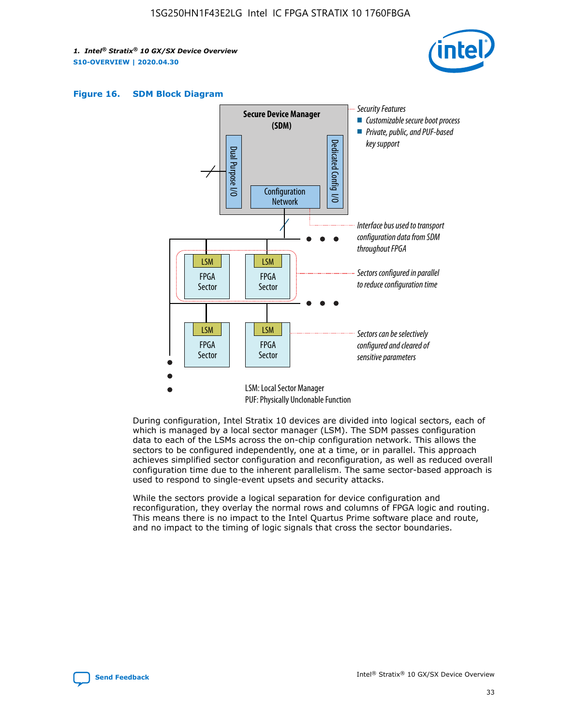





During configuration, Intel Stratix 10 devices are divided into logical sectors, each of which is managed by a local sector manager (LSM). The SDM passes configuration data to each of the LSMs across the on-chip configuration network. This allows the sectors to be configured independently, one at a time, or in parallel. This approach achieves simplified sector configuration and reconfiguration, as well as reduced overall configuration time due to the inherent parallelism. The same sector-based approach is used to respond to single-event upsets and security attacks.

While the sectors provide a logical separation for device configuration and reconfiguration, they overlay the normal rows and columns of FPGA logic and routing. This means there is no impact to the Intel Quartus Prime software place and route, and no impact to the timing of logic signals that cross the sector boundaries.

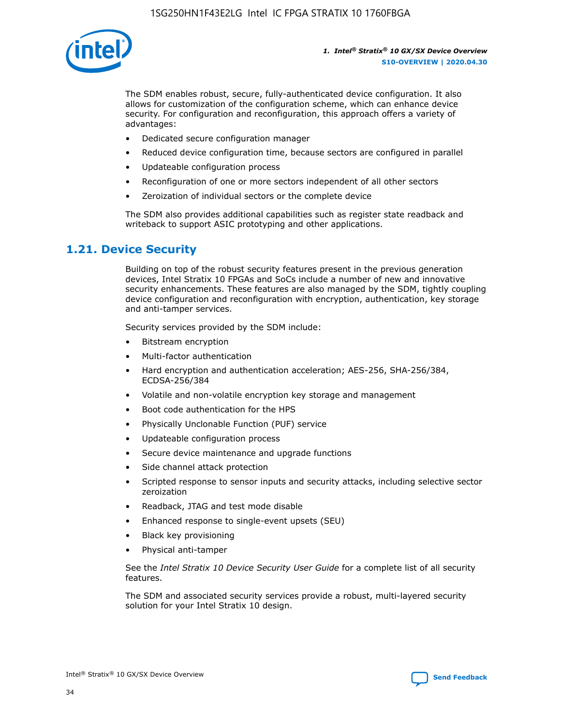

The SDM enables robust, secure, fully-authenticated device configuration. It also allows for customization of the configuration scheme, which can enhance device security. For configuration and reconfiguration, this approach offers a variety of advantages:

- Dedicated secure configuration manager
- Reduced device configuration time, because sectors are configured in parallel
- Updateable configuration process
- Reconfiguration of one or more sectors independent of all other sectors
- Zeroization of individual sectors or the complete device

The SDM also provides additional capabilities such as register state readback and writeback to support ASIC prototyping and other applications.

### **1.21. Device Security**

Building on top of the robust security features present in the previous generation devices, Intel Stratix 10 FPGAs and SoCs include a number of new and innovative security enhancements. These features are also managed by the SDM, tightly coupling device configuration and reconfiguration with encryption, authentication, key storage and anti-tamper services.

Security services provided by the SDM include:

- Bitstream encryption
- Multi-factor authentication
- Hard encryption and authentication acceleration; AES-256, SHA-256/384, ECDSA-256/384
- Volatile and non-volatile encryption key storage and management
- Boot code authentication for the HPS
- Physically Unclonable Function (PUF) service
- Updateable configuration process
- Secure device maintenance and upgrade functions
- Side channel attack protection
- Scripted response to sensor inputs and security attacks, including selective sector zeroization
- Readback, JTAG and test mode disable
- Enhanced response to single-event upsets (SEU)
- Black key provisioning
- Physical anti-tamper

See the *Intel Stratix 10 Device Security User Guide* for a complete list of all security features.

The SDM and associated security services provide a robust, multi-layered security solution for your Intel Stratix 10 design.

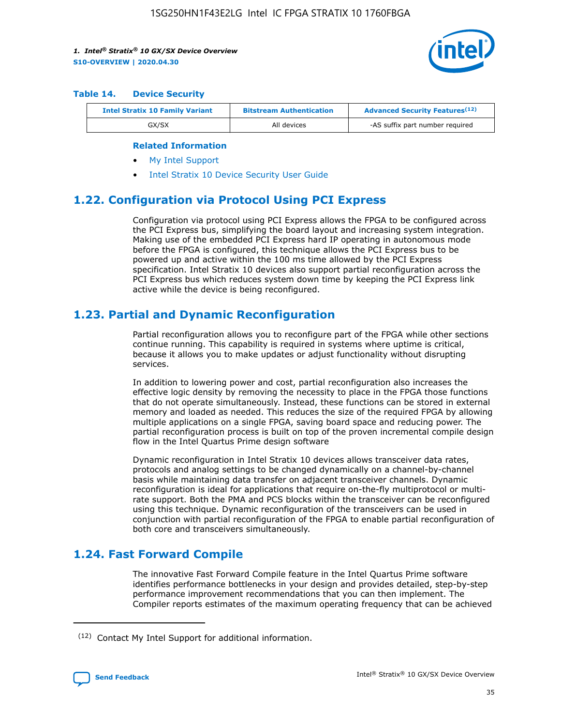

#### **Table 14. Device Security**

| <b>Intel Stratix 10 Family Variant</b> | <b>Bitstream Authentication</b> | <b>Advanced Security Features</b> <sup>(12)</sup> |
|----------------------------------------|---------------------------------|---------------------------------------------------|
| GX/SX                                  | All devices                     | -AS suffix part number required                   |

#### **Related Information**

- [My Intel Support](https://www.intel.com/content/www/us/en/programmable/my-intel/mal-home.html)
- [Intel Stratix 10 Device Security User Guide](https://www.intel.com/content/www/us/en/programmable/documentation/ndq1483601370898.html#wcd1483611014402)

### **1.22. Configuration via Protocol Using PCI Express**

Configuration via protocol using PCI Express allows the FPGA to be configured across the PCI Express bus, simplifying the board layout and increasing system integration. Making use of the embedded PCI Express hard IP operating in autonomous mode before the FPGA is configured, this technique allows the PCI Express bus to be powered up and active within the 100 ms time allowed by the PCI Express specification. Intel Stratix 10 devices also support partial reconfiguration across the PCI Express bus which reduces system down time by keeping the PCI Express link active while the device is being reconfigured.

### **1.23. Partial and Dynamic Reconfiguration**

Partial reconfiguration allows you to reconfigure part of the FPGA while other sections continue running. This capability is required in systems where uptime is critical, because it allows you to make updates or adjust functionality without disrupting services.

In addition to lowering power and cost, partial reconfiguration also increases the effective logic density by removing the necessity to place in the FPGA those functions that do not operate simultaneously. Instead, these functions can be stored in external memory and loaded as needed. This reduces the size of the required FPGA by allowing multiple applications on a single FPGA, saving board space and reducing power. The partial reconfiguration process is built on top of the proven incremental compile design flow in the Intel Quartus Prime design software

Dynamic reconfiguration in Intel Stratix 10 devices allows transceiver data rates, protocols and analog settings to be changed dynamically on a channel-by-channel basis while maintaining data transfer on adjacent transceiver channels. Dynamic reconfiguration is ideal for applications that require on-the-fly multiprotocol or multirate support. Both the PMA and PCS blocks within the transceiver can be reconfigured using this technique. Dynamic reconfiguration of the transceivers can be used in conjunction with partial reconfiguration of the FPGA to enable partial reconfiguration of both core and transceivers simultaneously.

### **1.24. Fast Forward Compile**

The innovative Fast Forward Compile feature in the Intel Quartus Prime software identifies performance bottlenecks in your design and provides detailed, step-by-step performance improvement recommendations that you can then implement. The Compiler reports estimates of the maximum operating frequency that can be achieved

<sup>(12)</sup> Contact My Intel Support for additional information.

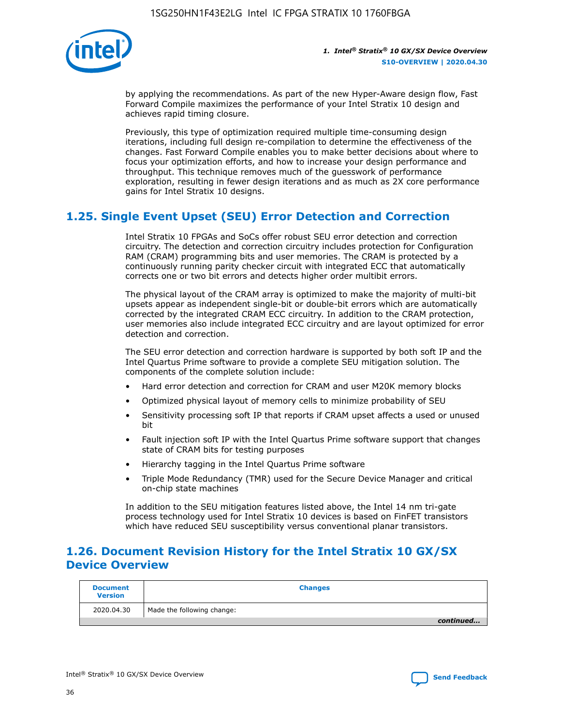

by applying the recommendations. As part of the new Hyper-Aware design flow, Fast Forward Compile maximizes the performance of your Intel Stratix 10 design and achieves rapid timing closure.

Previously, this type of optimization required multiple time-consuming design iterations, including full design re-compilation to determine the effectiveness of the changes. Fast Forward Compile enables you to make better decisions about where to focus your optimization efforts, and how to increase your design performance and throughput. This technique removes much of the guesswork of performance exploration, resulting in fewer design iterations and as much as 2X core performance gains for Intel Stratix 10 designs.

### **1.25. Single Event Upset (SEU) Error Detection and Correction**

Intel Stratix 10 FPGAs and SoCs offer robust SEU error detection and correction circuitry. The detection and correction circuitry includes protection for Configuration RAM (CRAM) programming bits and user memories. The CRAM is protected by a continuously running parity checker circuit with integrated ECC that automatically corrects one or two bit errors and detects higher order multibit errors.

The physical layout of the CRAM array is optimized to make the majority of multi-bit upsets appear as independent single-bit or double-bit errors which are automatically corrected by the integrated CRAM ECC circuitry. In addition to the CRAM protection, user memories also include integrated ECC circuitry and are layout optimized for error detection and correction.

The SEU error detection and correction hardware is supported by both soft IP and the Intel Quartus Prime software to provide a complete SEU mitigation solution. The components of the complete solution include:

- Hard error detection and correction for CRAM and user M20K memory blocks
- Optimized physical layout of memory cells to minimize probability of SEU
- Sensitivity processing soft IP that reports if CRAM upset affects a used or unused bit
- Fault injection soft IP with the Intel Quartus Prime software support that changes state of CRAM bits for testing purposes
- Hierarchy tagging in the Intel Quartus Prime software
- Triple Mode Redundancy (TMR) used for the Secure Device Manager and critical on-chip state machines

In addition to the SEU mitigation features listed above, the Intel 14 nm tri-gate process technology used for Intel Stratix 10 devices is based on FinFET transistors which have reduced SEU susceptibility versus conventional planar transistors.

### **1.26. Document Revision History for the Intel Stratix 10 GX/SX Device Overview**

| <b>Document</b><br><b>Version</b> | <b>Changes</b>             |
|-----------------------------------|----------------------------|
| 2020.04.30                        | Made the following change: |
|                                   | continued                  |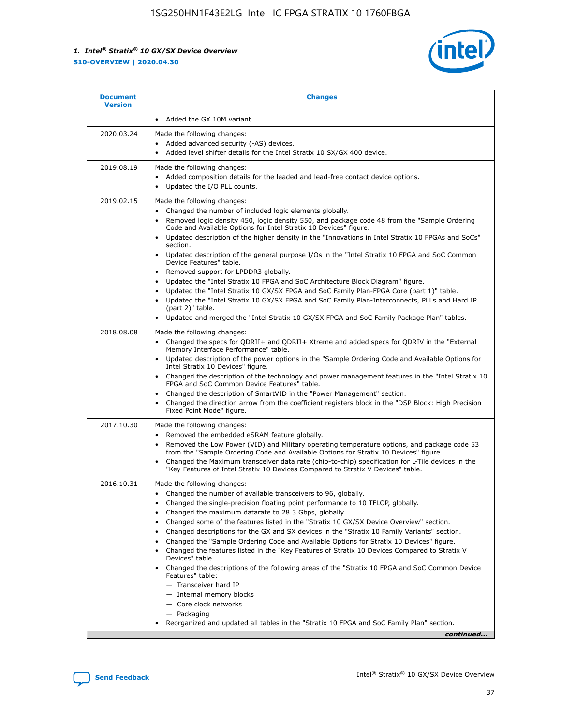

| <b>Document</b><br><b>Version</b> | <b>Changes</b>                                                                                                                                                                                                                                                                                                                                                                                                                                                                                                                                                                                                                                                                                                                                                                                                                                                                                                                                                                               |
|-----------------------------------|----------------------------------------------------------------------------------------------------------------------------------------------------------------------------------------------------------------------------------------------------------------------------------------------------------------------------------------------------------------------------------------------------------------------------------------------------------------------------------------------------------------------------------------------------------------------------------------------------------------------------------------------------------------------------------------------------------------------------------------------------------------------------------------------------------------------------------------------------------------------------------------------------------------------------------------------------------------------------------------------|
|                                   | Added the GX 10M variant.                                                                                                                                                                                                                                                                                                                                                                                                                                                                                                                                                                                                                                                                                                                                                                                                                                                                                                                                                                    |
| 2020.03.24                        | Made the following changes:<br>Added advanced security (-AS) devices.<br>Added level shifter details for the Intel Stratix 10 SX/GX 400 device.                                                                                                                                                                                                                                                                                                                                                                                                                                                                                                                                                                                                                                                                                                                                                                                                                                              |
| 2019.08.19                        | Made the following changes:<br>Added composition details for the leaded and lead-free contact device options.<br>Updated the I/O PLL counts.                                                                                                                                                                                                                                                                                                                                                                                                                                                                                                                                                                                                                                                                                                                                                                                                                                                 |
| 2019.02.15                        | Made the following changes:<br>Changed the number of included logic elements globally.<br>Removed logic density 450, logic density 550, and package code 48 from the "Sample Ordering<br>$\bullet$<br>Code and Available Options for Intel Stratix 10 Devices" figure.<br>Updated description of the higher density in the "Innovations in Intel Stratix 10 FPGAs and SoCs"<br>section.<br>Updated description of the general purpose I/Os in the "Intel Stratix 10 FPGA and SoC Common<br>Device Features" table.<br>Removed support for LPDDR3 globally.<br>Updated the "Intel Stratix 10 FPGA and SoC Architecture Block Diagram" figure.<br>Updated the "Intel Stratix 10 GX/SX FPGA and SoC Family Plan-FPGA Core (part 1)" table.<br>$\bullet$<br>Updated the "Intel Stratix 10 GX/SX FPGA and SoC Family Plan-Interconnects, PLLs and Hard IP<br>(part 2)" table.<br>Updated and merged the "Intel Stratix 10 GX/SX FPGA and SoC Family Package Plan" tables.                         |
| 2018.08.08                        | Made the following changes:<br>Changed the specs for QDRII+ and QDRII+ Xtreme and added specs for QDRIV in the "External<br>$\bullet$<br>Memory Interface Performance" table.<br>Updated description of the power options in the "Sample Ordering Code and Available Options for<br>Intel Stratix 10 Devices" figure.<br>Changed the description of the technology and power management features in the "Intel Stratix 10<br>FPGA and SoC Common Device Features" table.<br>Changed the description of SmartVID in the "Power Management" section.<br>Changed the direction arrow from the coefficient registers block in the "DSP Block: High Precision<br>Fixed Point Mode" figure.                                                                                                                                                                                                                                                                                                        |
| 2017.10.30                        | Made the following changes:<br>Removed the embedded eSRAM feature globally.<br>$\bullet$<br>Removed the Low Power (VID) and Military operating temperature options, and package code 53<br>from the "Sample Ordering Code and Available Options for Stratix 10 Devices" figure.<br>Changed the Maximum transceiver data rate (chip-to-chip) specification for L-Tile devices in the<br>"Key Features of Intel Stratix 10 Devices Compared to Stratix V Devices" table.                                                                                                                                                                                                                                                                                                                                                                                                                                                                                                                       |
| 2016.10.31                        | Made the following changes:<br>• Changed the number of available transceivers to 96, globally.<br>Changed the single-precision floating point performance to 10 TFLOP, globally.<br>Changed the maximum datarate to 28.3 Gbps, globally.<br>Changed some of the features listed in the "Stratix 10 GX/SX Device Overview" section.<br>Changed descriptions for the GX and SX devices in the "Stratix 10 Family Variants" section.<br>٠<br>Changed the "Sample Ordering Code and Available Options for Stratix 10 Devices" figure.<br>Changed the features listed in the "Key Features of Stratix 10 Devices Compared to Stratix V<br>$\bullet$<br>Devices" table.<br>Changed the descriptions of the following areas of the "Stratix 10 FPGA and SoC Common Device<br>Features" table:<br>- Transceiver hard IP<br>- Internal memory blocks<br>- Core clock networks<br>- Packaging<br>Reorganized and updated all tables in the "Stratix 10 FPGA and SoC Family Plan" section.<br>continued |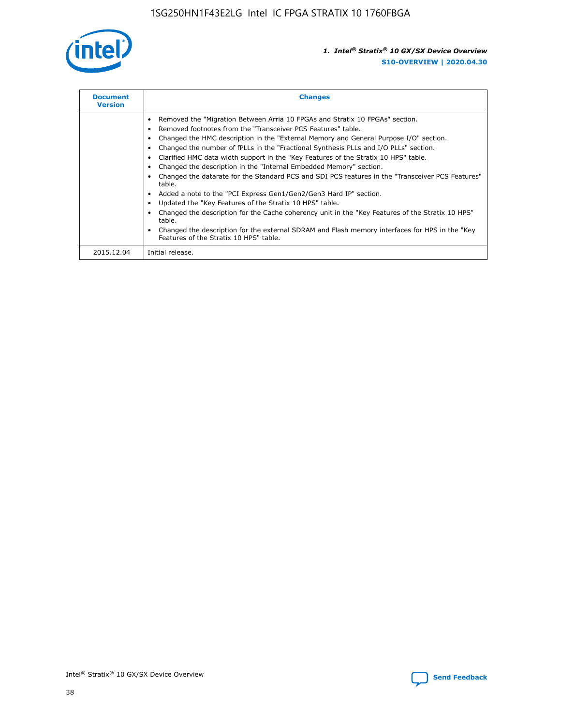

| <b>Document</b><br><b>Version</b> | <b>Changes</b>                                                                                                                                                                                                                                                                                                                                                                                                                                                                                                                                                                                                                                                                                                                                                                                                                                                                                                                                                                                     |
|-----------------------------------|----------------------------------------------------------------------------------------------------------------------------------------------------------------------------------------------------------------------------------------------------------------------------------------------------------------------------------------------------------------------------------------------------------------------------------------------------------------------------------------------------------------------------------------------------------------------------------------------------------------------------------------------------------------------------------------------------------------------------------------------------------------------------------------------------------------------------------------------------------------------------------------------------------------------------------------------------------------------------------------------------|
|                                   | Removed the "Migration Between Arria 10 FPGAs and Stratix 10 FPGAs" section.<br>Removed footnotes from the "Transceiver PCS Features" table.<br>Changed the HMC description in the "External Memory and General Purpose I/O" section.<br>Changed the number of fPLLs in the "Fractional Synthesis PLLs and I/O PLLs" section.<br>Clarified HMC data width support in the "Key Features of the Stratix 10 HPS" table.<br>Changed the description in the "Internal Embedded Memory" section.<br>Changed the datarate for the Standard PCS and SDI PCS features in the "Transceiver PCS Features"<br>table.<br>Added a note to the "PCI Express Gen1/Gen2/Gen3 Hard IP" section.<br>Updated the "Key Features of the Stratix 10 HPS" table.<br>Changed the description for the Cache coherency unit in the "Key Features of the Stratix 10 HPS"<br>table.<br>Changed the description for the external SDRAM and Flash memory interfaces for HPS in the "Key<br>Features of the Stratix 10 HPS" table. |
| 2015.12.04                        | Initial release.                                                                                                                                                                                                                                                                                                                                                                                                                                                                                                                                                                                                                                                                                                                                                                                                                                                                                                                                                                                   |